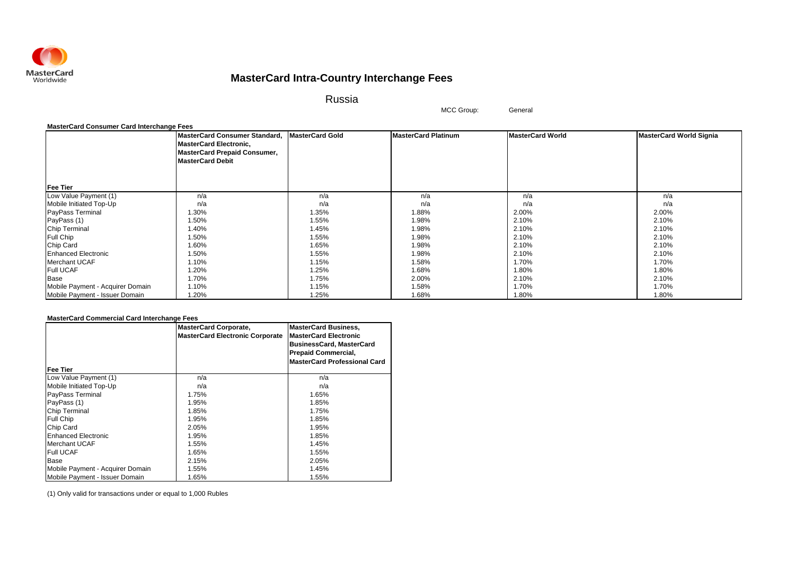

Russia

MCC Group: General

### **MasterCard Consumer Card Interchange Fees**

|                                  | MasterCard Consumer Standard,       | <b>MasterCard Gold</b> | <b>MasterCard Platinum</b> | <b>MasterCard World</b> | <b>MasterCard World Signia</b> |
|----------------------------------|-------------------------------------|------------------------|----------------------------|-------------------------|--------------------------------|
|                                  | <b>MasterCard Electronic,</b>       |                        |                            |                         |                                |
|                                  | <b>MasterCard Prepaid Consumer,</b> |                        |                            |                         |                                |
|                                  | <b>MasterCard Debit</b>             |                        |                            |                         |                                |
|                                  |                                     |                        |                            |                         |                                |
|                                  |                                     |                        |                            |                         |                                |
| <b>Fee Tier</b>                  |                                     |                        |                            |                         |                                |
| Low Value Payment (1)            | n/a                                 | n/a                    | n/a                        | n/a                     | n/a                            |
| Mobile Initiated Top-Up          | n/a                                 | n/a                    | n/a                        | n/a                     | n/a                            |
| PayPass Terminal                 | 1.30%                               | 1.35%                  | 1.88%                      | 2.00%                   | 2.00%                          |
| PayPass (1)                      | 1.50%                               | 1.55%                  | 1.98%                      | 2.10%                   | 2.10%                          |
| Chip Terminal                    | 1.40%                               | 1.45%                  | 1.98%                      | 2.10%                   | 2.10%                          |
| <b>Full Chip</b>                 | 1.50%                               | 1.55%                  | 1.98%                      | 2.10%                   | 2.10%                          |
| Chip Card                        | 1.60%                               | 1.65%                  | 1.98%                      | 2.10%                   | 2.10%                          |
| <b>Enhanced Electronic</b>       | 1.50%                               | 1.55%                  | 1.98%                      | 2.10%                   | 2.10%                          |
| <b>Merchant UCAF</b>             | 1.10%                               | 1.15%                  | 1.58%                      | 1.70%                   | 1.70%                          |
| <b>Full UCAF</b>                 | 1.20%                               | 1.25%                  | 1.68%                      | 1.80%                   | 1.80%                          |
| Base                             | 1.70%                               | 1.75%                  | 2.00%                      | 2.10%                   | 2.10%                          |
| Mobile Payment - Acquirer Domain | 1.10%                               | 1.15%                  | 1.58%                      | 1.70%                   | 1.70%                          |
| Mobile Payment - Issuer Domain   | 1.20%                               | 1.25%                  | 1.68%                      | 1.80%                   | 1.80%                          |

### **MasterCard Commercial Card Interchange Fees**

| Fee Tier                         | <b>MasterCard Corporate,</b><br><b>MasterCard Electronic Corporate</b> | <b>MasterCard Business,</b><br><b>MasterCard Electronic</b><br><b>BusinessCard, MasterCard</b><br><b>Prepaid Commercial,</b><br><b>MasterCard Professional Card</b> |
|----------------------------------|------------------------------------------------------------------------|---------------------------------------------------------------------------------------------------------------------------------------------------------------------|
| Low Value Payment (1)            | n/a                                                                    | n/a                                                                                                                                                                 |
| Mobile Initiated Top-Up          | n/a                                                                    | n/a                                                                                                                                                                 |
| <b>PayPass Terminal</b>          | 1.75%                                                                  | 1.65%                                                                                                                                                               |
| PayPass (1)                      | 1.95%                                                                  | 1.85%                                                                                                                                                               |
| <b>Chip Terminal</b>             | 1.85%                                                                  | 1.75%                                                                                                                                                               |
| <b>Full Chip</b>                 | 1.95%                                                                  | 1.85%                                                                                                                                                               |
| Chip Card                        | 2.05%                                                                  | 1.95%                                                                                                                                                               |
| <b>Enhanced Electronic</b>       | 1.95%                                                                  | 1.85%                                                                                                                                                               |
| Merchant UCAF                    | 1.55%                                                                  | 1.45%                                                                                                                                                               |
| <b>Full UCAF</b>                 | 1.65%                                                                  | 1.55%                                                                                                                                                               |
| Base                             | 2.15%                                                                  | 2.05%                                                                                                                                                               |
| Mobile Payment - Acquirer Domain | 1.55%                                                                  | 1.45%                                                                                                                                                               |
| Mobile Payment - Issuer Domain   | 1.65%                                                                  | 1.55%                                                                                                                                                               |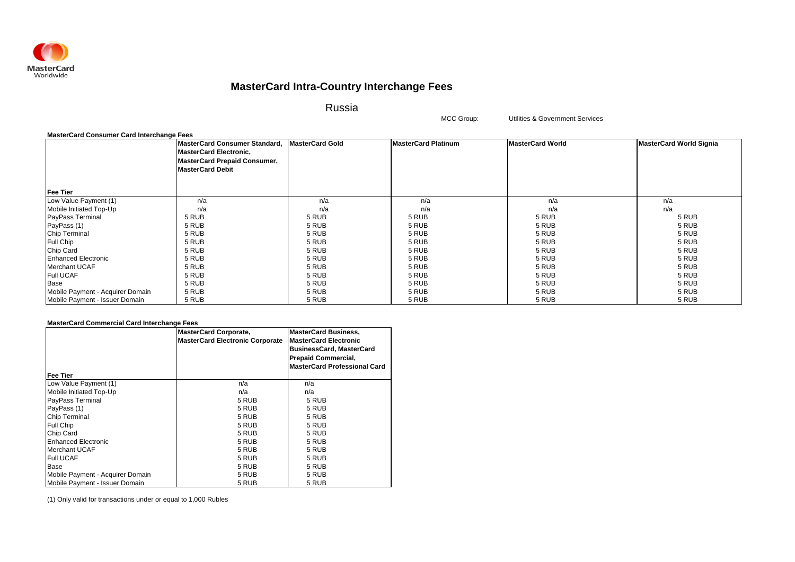

Russia

MCC Group: Utilities & Government Services

| <b>MasterCard Consumer Card Interchange Fees</b> |                                                                                                                                  |                        |                            |                         |                                |
|--------------------------------------------------|----------------------------------------------------------------------------------------------------------------------------------|------------------------|----------------------------|-------------------------|--------------------------------|
|                                                  | MasterCard Consumer Standard,<br><b>MasterCard Electronic,</b><br><b>MasterCard Prepaid Consumer,</b><br><b>MasterCard Debit</b> | <b>MasterCard Gold</b> | <b>MasterCard Platinum</b> | <b>MasterCard World</b> | <b>MasterCard World Signia</b> |
| <b>Fee Tier</b>                                  |                                                                                                                                  |                        |                            |                         |                                |
| Low Value Payment (1)                            | n/a                                                                                                                              | n/a                    | n/a                        | n/a                     | n/a                            |
| Mobile Initiated Top-Up                          | n/a                                                                                                                              | n/a                    | n/a                        | n/a                     | n/a                            |
| PayPass Terminal                                 | 5 RUB                                                                                                                            | 5 RUB                  | 5 RUB                      | 5 RUB                   | 5 RUB                          |
| PayPass (1)                                      | 5 RUB                                                                                                                            | 5 RUB                  | 5 RUB                      | 5 RUB                   | 5 RUB                          |
| Chip Terminal                                    | 5 RUB                                                                                                                            | 5 RUB                  | 5 RUB                      | 5 RUB                   | 5 RUB                          |
| Full Chip                                        | 5 RUB                                                                                                                            | 5 RUB                  | 5 RUB                      | 5 RUB                   | 5 RUB                          |
| Chip Card                                        | 5 RUB                                                                                                                            | 5 RUB                  | 5 RUB                      | 5 RUB                   | 5 RUB                          |
| <b>Enhanced Electronic</b>                       | 5 RUB                                                                                                                            | 5 RUB                  | 5 RUB                      | 5 RUB                   | 5 RUB                          |
| Merchant UCAF                                    | 5 RUB                                                                                                                            | 5 RUB                  | 5 RUB                      | 5 RUB                   | 5 RUB                          |
| <b>Full UCAF</b>                                 | 5 RUB                                                                                                                            | 5 RUB                  | 5 RUB                      | 5 RUB                   | 5 RUB                          |
| Base                                             | 5 RUB                                                                                                                            | 5 RUB                  | 5 RUB                      | 5 RUB                   | 5 RUB                          |
| Mobile Payment - Acquirer Domain                 | 5 RUB                                                                                                                            | 5 RUB                  | 5 RUB                      | 5 RUB                   | 5 RUB                          |
| Mobile Payment - Issuer Domain                   | 5 RUB                                                                                                                            | 5 RUB                  | 5 RUB                      | 5 RUB                   | 5 RUB                          |

### **MasterCard Commercial Card Interchange Fees**

|                                  | <b>MasterCard Corporate,</b><br><b>MasterCard Electronic Corporate</b> | <b>MasterCard Business,</b><br><b>MasterCard Electronic</b><br><b>BusinessCard, MasterCard</b><br><b>Prepaid Commercial,</b> |
|----------------------------------|------------------------------------------------------------------------|------------------------------------------------------------------------------------------------------------------------------|
| Fee Tier                         |                                                                        | <b>MasterCard Professional Card</b>                                                                                          |
| Low Value Payment (1)            | n/a                                                                    | n/a                                                                                                                          |
| Mobile Initiated Top-Up          | n/a                                                                    | n/a                                                                                                                          |
| PayPass Terminal                 | 5 RUB                                                                  | 5 RUB                                                                                                                        |
| PayPass (1)                      | 5 RUB                                                                  | 5 RUB                                                                                                                        |
| <b>Chip Terminal</b>             | 5 RUB                                                                  | 5 RUB                                                                                                                        |
| Full Chip                        | 5 RUB                                                                  | 5 RUB                                                                                                                        |
| Chip Card                        | 5 RUB                                                                  | 5 RUB                                                                                                                        |
| <b>Enhanced Electronic</b>       | 5 RUB                                                                  | 5 RUB                                                                                                                        |
| <b>Merchant UCAF</b>             | 5 RUB                                                                  | 5 RUB                                                                                                                        |
| <b>Full UCAF</b>                 | 5 RUB                                                                  | 5 RUB                                                                                                                        |
| Base                             | 5 RUB                                                                  | 5 RUB                                                                                                                        |
| Mobile Payment - Acquirer Domain | 5 RUB                                                                  | 5 RUB                                                                                                                        |
| Mobile Payment - Issuer Domain   | 5 RUB                                                                  | 5 RUB                                                                                                                        |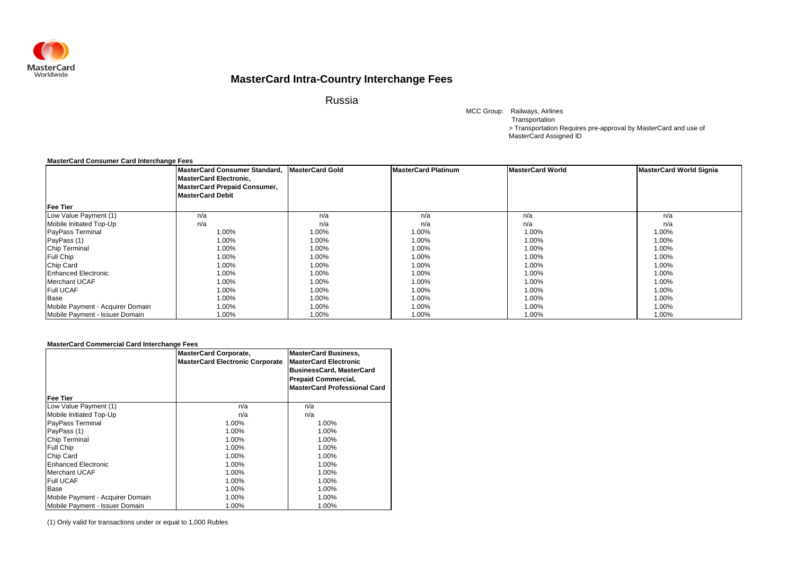

Russia

MCC Group: Railways, Airlines > Transportation Requires pre-approval by MasterCard and use of MasterCard Assigned ID Transportation

### **MasterCard Consumer Card Interchange Fees**

|                                  | MasterCard Consumer Standard, MasterCard Gold<br><b>MasterCard Electronic,</b><br><b>MasterCard Prepaid Consumer,</b><br><b>MasterCard Debit</b> |       | <b>MasterCard Platinum</b> | <b>MasterCard World</b> | <b>MasterCard World Signia</b> |
|----------------------------------|--------------------------------------------------------------------------------------------------------------------------------------------------|-------|----------------------------|-------------------------|--------------------------------|
| <b>Fee Tier</b>                  |                                                                                                                                                  |       |                            |                         |                                |
| Low Value Payment (1)            | n/a                                                                                                                                              | n/a   | n/a                        | n/a                     | n/a                            |
| Mobile Initiated Top-Up          | n/a                                                                                                                                              | n/a   | n/a                        | n/a                     | n/a                            |
| <b>PayPass Terminal</b>          | 1.00%                                                                                                                                            | 1.00% | 1.00%                      | 1.00%                   | 1.00%                          |
| PayPass (1)                      | 1.00%                                                                                                                                            | 1.00% | 1.00%                      | 1.00%                   | 1.00%                          |
| <b>Chip Terminal</b>             | 1.00%                                                                                                                                            | 1.00% | 1.00%                      | 1.00%                   | 1.00%                          |
| <b>Full Chip</b>                 | 1.00%                                                                                                                                            | 1.00% | 1.00%                      | 1.00%                   | 1.00%                          |
| <b>Chip Card</b>                 | 1.00%                                                                                                                                            | 1.00% | 1.00%                      | 1.00%                   | 1.00%                          |
| <b>Enhanced Electronic</b>       | 1.00%                                                                                                                                            | 1.00% | 1.00%                      | 1.00%                   | 1.00%                          |
| Merchant UCAF                    | 1.00%                                                                                                                                            | 1.00% | 1.00%                      | 1.00%                   | 1.00%                          |
| <b>Full UCAF</b>                 | 1.00%                                                                                                                                            | 1.00% | 1.00%                      | 1.00%                   | 1.00%                          |
| Base                             | 1.00%                                                                                                                                            | 1.00% | 1.00%                      | 1.00%                   | 1.00%                          |
| Mobile Payment - Acquirer Domain | 1.00%                                                                                                                                            | 1.00% | 1.00%                      | 1.00%                   | 1.00%                          |
| Mobile Payment - Issuer Domain   | 1.00%                                                                                                                                            | 1.00% | 1.00%                      | 1.00%                   | 1.00%                          |

### **MasterCard Commercial Card Interchange Fees**

|                                  | <b>MasterCard Corporate,</b><br><b>MasterCard Electronic Corporate</b> | <b>MasterCard Business,</b><br><b>MasterCard Electronic</b><br><b>BusinessCard, MasterCard</b><br><b>Prepaid Commercial,</b><br><b>MasterCard Professional Card</b> |
|----------------------------------|------------------------------------------------------------------------|---------------------------------------------------------------------------------------------------------------------------------------------------------------------|
| Fee Tier                         |                                                                        |                                                                                                                                                                     |
| Low Value Payment (1)            | n/a                                                                    | n/a                                                                                                                                                                 |
| Mobile Initiated Top-Up          | n/a                                                                    | n/a                                                                                                                                                                 |
| <b>PayPass Terminal</b>          | 1.00%                                                                  | 1.00%                                                                                                                                                               |
| PayPass (1)                      | 1.00%                                                                  | 1.00%                                                                                                                                                               |
| <b>Chip Terminal</b>             | 1.00%                                                                  | 1.00%                                                                                                                                                               |
| Full Chip                        | 1.00%                                                                  | 1.00%                                                                                                                                                               |
| Chip Card                        | 1.00%                                                                  | 1.00%                                                                                                                                                               |
| <b>Enhanced Electronic</b>       | 1.00%                                                                  | 1.00%                                                                                                                                                               |
| Merchant UCAF                    | 1.00%                                                                  | 1.00%                                                                                                                                                               |
| <b>Full UCAF</b>                 | 1.00%                                                                  | 1.00%                                                                                                                                                               |
| Base                             | 1.00%                                                                  | 1.00%                                                                                                                                                               |
| Mobile Payment - Acquirer Domain | 1.00%                                                                  | 1.00%                                                                                                                                                               |
| Mobile Payment - Issuer Domain   | 1.00%                                                                  | 1.00%                                                                                                                                                               |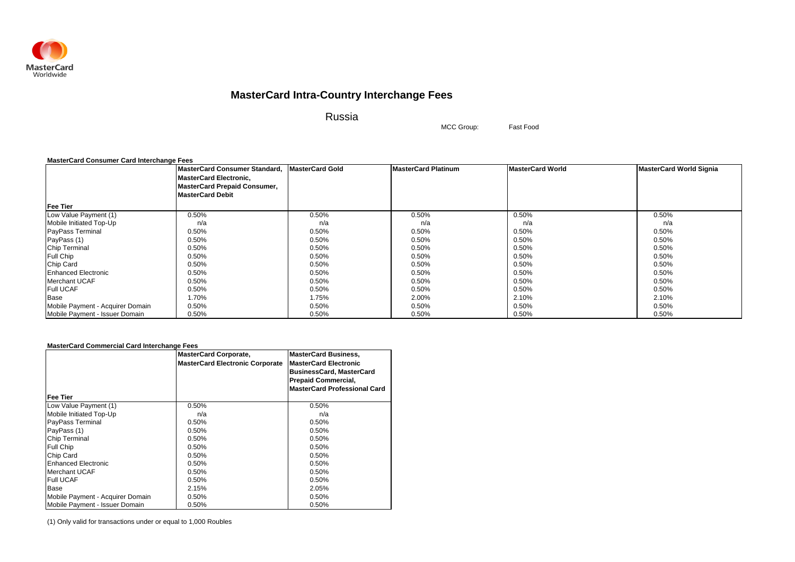

Russia

MCC Group: Fast Food

### **MasterCard Consumer Card Interchange Fees**

|                                  | <b>MasterCard Consumer Standard,</b><br><b>MasterCard Electronic,</b><br><b>MasterCard Prepaid Consumer,</b> | <b>MasterCard Gold</b> | <b>MasterCard Platinum</b> | <b>MasterCard World</b> | <b>MasterCard World Signia</b> |
|----------------------------------|--------------------------------------------------------------------------------------------------------------|------------------------|----------------------------|-------------------------|--------------------------------|
|                                  | <b>MasterCard Debit</b>                                                                                      |                        |                            |                         |                                |
| <b>Fee Tier</b>                  |                                                                                                              |                        |                            |                         |                                |
| Low Value Payment (1)            | 0.50%                                                                                                        | 0.50%                  | 0.50%                      | 0.50%                   | 0.50%                          |
| Mobile Initiated Top-Up          | n/a                                                                                                          | n/a                    | n/a                        | n/a                     | n/a                            |
| <b>PayPass Terminal</b>          | 0.50%                                                                                                        | 0.50%                  | 0.50%                      | 0.50%                   | 0.50%                          |
| PayPass (1)                      | 0.50%                                                                                                        | 0.50%                  | 0.50%                      | 0.50%                   | 0.50%                          |
| Chip Terminal                    | 0.50%                                                                                                        | 0.50%                  | 0.50%                      | 0.50%                   | 0.50%                          |
| <b>Full Chip</b>                 | 0.50%                                                                                                        | 0.50%                  | 0.50%                      | 0.50%                   | 0.50%                          |
| Chip Card                        | 0.50%                                                                                                        | 0.50%                  | 0.50%                      | 0.50%                   | 0.50%                          |
| <b>Enhanced Electronic</b>       | 0.50%                                                                                                        | 0.50%                  | 0.50%                      | 0.50%                   | 0.50%                          |
| Merchant UCAF                    | 0.50%                                                                                                        | 0.50%                  | 0.50%                      | 0.50%                   | 0.50%                          |
| <b>Full UCAF</b>                 | 0.50%                                                                                                        | 0.50%                  | 0.50%                      | 0.50%                   | 0.50%                          |
| Base                             | 1.70%                                                                                                        | 1.75%                  | 2.00%                      | 2.10%                   | 2.10%                          |
| Mobile Payment - Acquirer Domain | 0.50%                                                                                                        | 0.50%                  | 0.50%                      | 0.50%                   | 0.50%                          |
| Mobile Payment - Issuer Domain   | 0.50%                                                                                                        | 0.50%                  | 0.50%                      | 0.50%                   | 0.50%                          |

### **MasterCard Commercial Card Interchange Fees**

|                                  | <b>MasterCard Corporate,</b><br><b>MasterCard Electronic Corporate</b> | <b>MasterCard Business,</b><br><b>MasterCard Electronic</b><br><b>BusinessCard, MasterCard</b><br><b>Prepaid Commercial,</b><br><b>MasterCard Professional Card</b> |
|----------------------------------|------------------------------------------------------------------------|---------------------------------------------------------------------------------------------------------------------------------------------------------------------|
| Fee Tier                         |                                                                        |                                                                                                                                                                     |
| Low Value Payment (1)            | 0.50%                                                                  | 0.50%                                                                                                                                                               |
| Mobile Initiated Top-Up          | n/a                                                                    | n/a                                                                                                                                                                 |
| PayPass Terminal                 | 0.50%                                                                  | 0.50%                                                                                                                                                               |
| PayPass (1)                      | 0.50%                                                                  | 0.50%                                                                                                                                                               |
| <b>Chip Terminal</b>             | 0.50%                                                                  | 0.50%                                                                                                                                                               |
| Full Chip                        | 0.50%                                                                  | 0.50%                                                                                                                                                               |
| Chip Card                        | 0.50%                                                                  | 0.50%                                                                                                                                                               |
| Enhanced Electronic              | 0.50%                                                                  | 0.50%                                                                                                                                                               |
| Merchant UCAF                    | 0.50%                                                                  | 0.50%                                                                                                                                                               |
| <b>Full UCAF</b>                 | 0.50%                                                                  | 0.50%                                                                                                                                                               |
| Base                             | 2.15%                                                                  | 2.05%                                                                                                                                                               |
| Mobile Payment - Acquirer Domain | 0.50%                                                                  | 0.50%                                                                                                                                                               |
| Mobile Payment - Issuer Domain   | 0.50%                                                                  | 0.50%                                                                                                                                                               |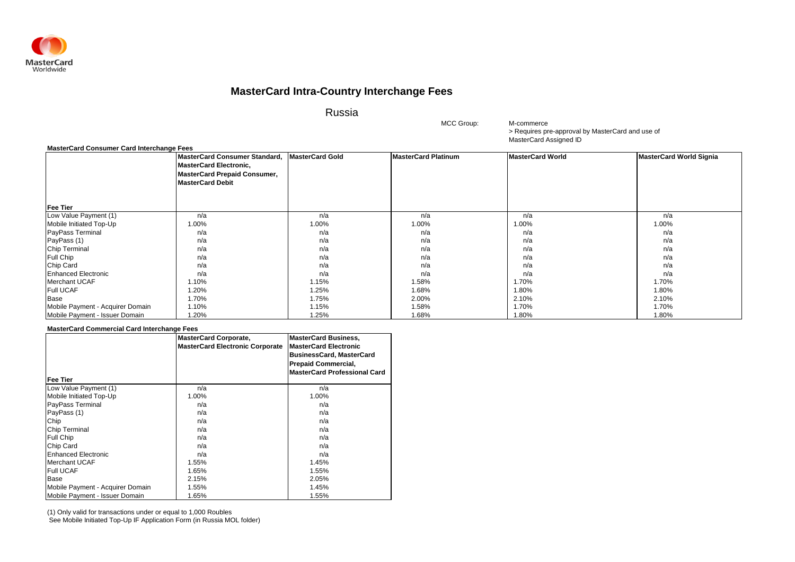

Russia

> Requires pre-approval by MasterCard and use of MasterCard Assigned ID M-commerce

### **MasterCard Consumer Card Interchange Fees**

|                                  | MasterCard Consumer Standard,<br><b>MasterCard Electronic,</b><br><b>MasterCard Prepaid Consumer,</b><br><b>MasterCard Debit</b> | <b>MasterCard Gold</b> | <b>MasterCard Platinum</b> | <b>MasterCard World</b> | <b>MasterCard World Signia</b> |
|----------------------------------|----------------------------------------------------------------------------------------------------------------------------------|------------------------|----------------------------|-------------------------|--------------------------------|
| <b>Fee Tier</b>                  |                                                                                                                                  |                        |                            |                         |                                |
| Low Value Payment (1)            | n/a                                                                                                                              | n/a                    | n/a                        | n/a                     | n/a                            |
| Mobile Initiated Top-Up          | 1.00%                                                                                                                            | 1.00%                  | 1.00%                      | 1.00%                   | 1.00%                          |
| PayPass Terminal                 | n/a                                                                                                                              | n/a                    | n/a                        | n/a                     | n/a                            |
| PayPass (1)                      | n/a                                                                                                                              | n/a                    | n/a                        | n/a                     | n/a                            |
| Chip Terminal                    | n/a                                                                                                                              | n/a                    | n/a                        | n/a                     | n/a                            |
| Full Chip                        | n/a                                                                                                                              | n/a                    | n/a                        | n/a                     | n/a                            |
| Chip Card                        | n/a                                                                                                                              | n/a                    | n/a                        | n/a                     | n/a                            |
| <b>Enhanced Electronic</b>       | n/a                                                                                                                              | n/a                    | n/a                        | n/a                     | n/a                            |
| Merchant UCAF                    | 1.10%                                                                                                                            | 1.15%                  | 1.58%                      | 1.70%                   | 1.70%                          |
| <b>Full UCAF</b>                 | 1.20%                                                                                                                            | 1.25%                  | 1.68%                      | 1.80%                   | 1.80%                          |
| Base                             | 1.70%                                                                                                                            | 1.75%                  | 2.00%                      | 2.10%                   | 2.10%                          |
| Mobile Payment - Acquirer Domain | 1.10%                                                                                                                            | 1.15%                  | 1.58%                      | 1.70%                   | 1.70%                          |
| Mobile Payment - Issuer Domain   | 1.20%                                                                                                                            | 1.25%                  | 1.68%                      | 1.80%                   | 1.80%                          |

MCC Group:

#### **MasterCard Commercial Card Interchange Fees**

|                                  | <b>MasterCard Corporate,</b><br>MasterCard Electronic Corporate | <b>MasterCard Business,</b><br><b>IMasterCard Electronic</b><br><b>BusinessCard, MasterCard</b><br><b>Prepaid Commercial,</b><br><b>MasterCard Professional Card</b> |
|----------------------------------|-----------------------------------------------------------------|----------------------------------------------------------------------------------------------------------------------------------------------------------------------|
| Fee Tier                         |                                                                 |                                                                                                                                                                      |
| Low Value Payment (1)            | n/a                                                             | n/a                                                                                                                                                                  |
| Mobile Initiated Top-Up          | 1.00%                                                           | 1.00%                                                                                                                                                                |
| PayPass Terminal                 | n/a                                                             | n/a                                                                                                                                                                  |
| PayPass (1)                      | n/a                                                             | n/a                                                                                                                                                                  |
| Chip                             | n/a                                                             | n/a                                                                                                                                                                  |
| Chip Terminal                    | n/a                                                             | n/a                                                                                                                                                                  |
| Full Chip                        | n/a                                                             | n/a                                                                                                                                                                  |
| Chip Card                        | n/a                                                             | n/a                                                                                                                                                                  |
| <b>Enhanced Electronic</b>       | n/a                                                             | n/a                                                                                                                                                                  |
| <b>Merchant UCAF</b>             | 1.55%                                                           | 1.45%                                                                                                                                                                |
| <b>Full UCAF</b>                 | 1.65%                                                           | 1.55%                                                                                                                                                                |
| Base                             | 2.15%                                                           | 2.05%                                                                                                                                                                |
| Mobile Payment - Acquirer Domain | 1.55%                                                           | 1.45%                                                                                                                                                                |
| Mobile Payment - Issuer Domain   | 1.65%                                                           | 1.55%                                                                                                                                                                |

(1) Only valid for transactions under or equal to 1,000 Roubles See Mobile Initiated Top-Up IF Application Form (in Russia MOL folder)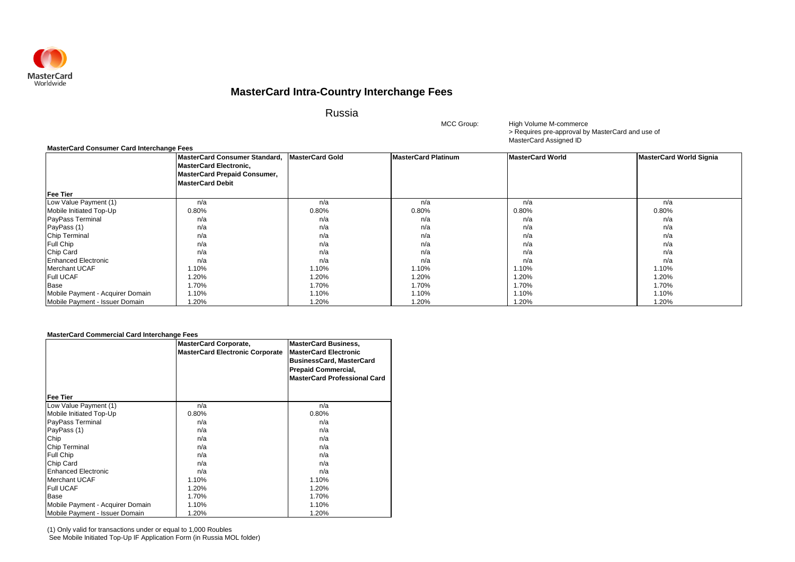

Russia

> Requires pre-approval by MasterCard and use of MasterCard Assigned ID High Volume M-commerce

| <b>MasterCard Consumer Card Interchange Fees</b> |                                     |                 |                            |                         |                                |
|--------------------------------------------------|-------------------------------------|-----------------|----------------------------|-------------------------|--------------------------------|
|                                                  | MasterCard Consumer Standard.       | MasterCard Gold | <b>MasterCard Platinum</b> | <b>MasterCard World</b> | <b>MasterCard World Signia</b> |
|                                                  | <b>MasterCard Electronic,</b>       |                 |                            |                         |                                |
|                                                  | <b>MasterCard Prepaid Consumer,</b> |                 |                            |                         |                                |
|                                                  | <b>MasterCard Debit</b>             |                 |                            |                         |                                |
| <b>Fee Tier</b>                                  |                                     |                 |                            |                         |                                |
| Low Value Payment (1)                            | n/a                                 | n/a             | n/a                        | n/a                     | n/a                            |
| Mobile Initiated Top-Up                          | 0.80%                               | 0.80%           | 0.80%                      | 0.80%                   | 0.80%                          |
| <b>PayPass Terminal</b>                          | n/a                                 | n/a             | n/a                        | n/a                     | n/a                            |
| PayPass (1)                                      | n/a                                 | n/a             | n/a                        | n/a                     | n/a                            |
| <b>Chip Terminal</b>                             | n/a                                 | n/a             | n/a                        | n/a                     | n/a                            |
| <b>Full Chip</b>                                 | n/a                                 | n/a             | n/a                        | n/a                     | n/a                            |
| Chip Card                                        | n/a                                 | n/a             | n/a                        | n/a                     | n/a                            |
| <b>Enhanced Electronic</b>                       | n/a                                 | n/a             | n/a                        | n/a                     | n/a                            |
| Merchant UCAF                                    | 1.10%                               | 1.10%           | 1.10%                      | 1.10%                   | 1.10%                          |
| <b>Full UCAF</b>                                 | 1.20%                               | 1.20%           | 1.20%                      | 1.20%                   | 1.20%                          |
| Base                                             | 1.70%                               | 1.70%           | 1.70%                      | 1.70%                   | 1.70%                          |
| Mobile Payment - Acquirer Domain                 | 1.10%                               | 1.10%           | 1.10%                      | 1.10%                   | 1.10%                          |
| Mobile Payment - Issuer Domain                   | 1.20%                               | 1.20%           | 1.20%                      | 1.20%                   | 1.20%                          |

MCC Group:

#### **MasterCard Commercial Card Interchange Fees**

|                                  | <b>MasterCard Corporate,</b><br><b>MasterCard Electronic Corporate</b> | <b>MasterCard Business,</b><br><b>MasterCard Electronic</b><br><b>BusinessCard, MasterCard</b><br><b>Prepaid Commercial,</b><br><b>MasterCard Professional Card</b> |
|----------------------------------|------------------------------------------------------------------------|---------------------------------------------------------------------------------------------------------------------------------------------------------------------|
| <b>Fee Tier</b>                  |                                                                        |                                                                                                                                                                     |
| Low Value Payment (1)            | n/a                                                                    | n/a                                                                                                                                                                 |
| Mobile Initiated Top-Up          | 0.80%                                                                  | 0.80%                                                                                                                                                               |
| PayPass Terminal                 | n/a                                                                    | n/a                                                                                                                                                                 |
| PayPass (1)                      | n/a                                                                    | n/a                                                                                                                                                                 |
| Chip                             | n/a                                                                    | n/a                                                                                                                                                                 |
| <b>Chip Terminal</b>             | n/a                                                                    | n/a                                                                                                                                                                 |
| Full Chip                        | n/a                                                                    | n/a                                                                                                                                                                 |
| Chip Card                        | n/a                                                                    | n/a                                                                                                                                                                 |
| <b>Enhanced Electronic</b>       | n/a                                                                    | n/a                                                                                                                                                                 |
| <b>Merchant UCAF</b>             | 1.10%                                                                  | 1.10%                                                                                                                                                               |
| <b>Full UCAF</b>                 | 1.20%                                                                  | 1.20%                                                                                                                                                               |
| Base                             | 1.70%                                                                  | 1.70%                                                                                                                                                               |
| Mobile Payment - Acquirer Domain | 1.10%                                                                  | 1.10%                                                                                                                                                               |
| Mobile Payment - Issuer Domain   | 1.20%                                                                  | 1.20%                                                                                                                                                               |

(1) Only valid for transactions under or equal to 1,000 Roubles See Mobile Initiated Top-Up IF Application Form (in Russia MOL folder)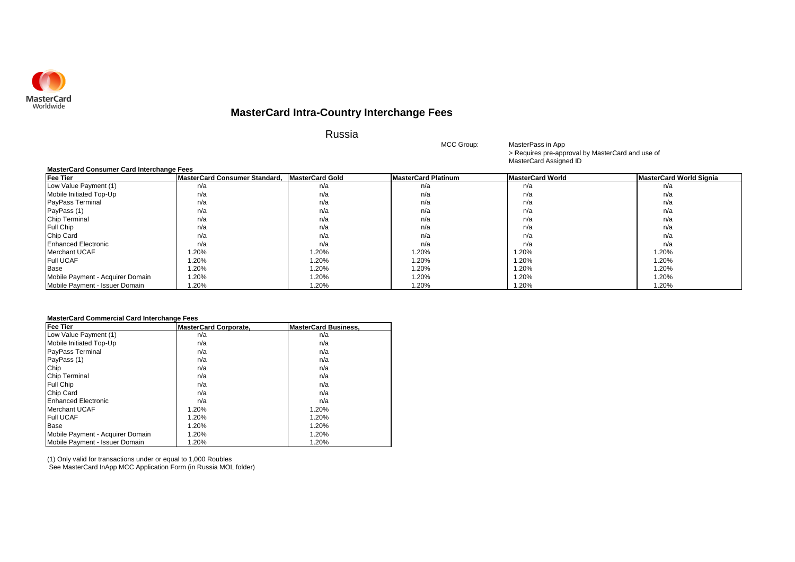

Russia

> Requires pre-approval by MasterCard and use of MasterCard Assigned ID MasterPass in App

| <b>MasterCard Consumer Card Interchange Fees</b> |                               |                        |                            |                         |                                |  |
|--------------------------------------------------|-------------------------------|------------------------|----------------------------|-------------------------|--------------------------------|--|
| <b>Fee Tier</b>                                  | MasterCard Consumer Standard. | <b>MasterCard Gold</b> | <b>MasterCard Platinum</b> | <b>MasterCard World</b> | <b>MasterCard World Signia</b> |  |
| Low Value Payment (1)                            | n/a                           | n/a                    | n/a                        | n/a                     | n/a                            |  |
| Mobile Initiated Top-Up                          | n/a                           | n/a                    | n/a                        | n/a                     | n/a                            |  |
| <b>PayPass Terminal</b>                          | n/a                           | n/a                    | n/a                        | n/a                     | n/a                            |  |
| PayPass (1)                                      | n/a                           | n/a                    | n/a                        | n/a                     | n/a                            |  |
| <b>Chip Terminal</b>                             | n/a                           | n/a                    | n/a                        | n/a                     | n/a                            |  |
| <b>Full Chip</b>                                 | n/a                           | n/a                    | n/a                        | n/a                     | n/a                            |  |
| Chip Card                                        | n/a                           | n/a                    | n/a                        | n/a                     | n/a                            |  |
| <b>Enhanced Electronic</b>                       | n/a                           | n/a                    | n/a                        | n/a                     | n/a                            |  |
| Merchant UCAF                                    | $1.20\%$                      | 1.20%                  | 1.20%                      | 1.20%                   | 1.20%                          |  |
| <b>Full UCAF</b>                                 | 1.20%                         | 1.20%                  | 1.20%                      | 1.20%                   | 1.20%                          |  |
| <b>Base</b>                                      | 1.20%                         | 1.20%                  | 1.20%                      | 1.20%                   | 1.20%                          |  |
| Mobile Payment - Acquirer Domain                 | 1.20%                         | 1.20%                  | 1.20%                      | 1.20%                   | 1.20%                          |  |
| Mobile Payment - Issuer Domain                   | 1.20%                         | 1.20%                  | 1.20%                      | 1.20%                   | 1.20%                          |  |

MCC Group:

### **MasterCard Commercial Card Interchange Fees**

| <b>Fee Tier</b>                  | <b>MasterCard Corporate.</b> | <b>MasterCard Business.</b> |
|----------------------------------|------------------------------|-----------------------------|
| Low Value Payment (1)            | n/a                          | n/a                         |
| Mobile Initiated Top-Up          | n/a                          | n/a                         |
| <b>PayPass Terminal</b>          | n/a                          | n/a                         |
| PayPass (1)                      | n/a                          | n/a                         |
| Chip                             | n/a                          | n/a                         |
| <b>Chip Terminal</b>             | n/a                          | n/a                         |
| Full Chip                        | n/a                          | n/a                         |
| Chip Card                        | n/a                          | n/a                         |
| Enhanced Electronic              | n/a                          | n/a                         |
| Merchant UCAF                    | 1.20%                        | 1.20%                       |
| <b>Full UCAF</b>                 | 1.20%                        | 1.20%                       |
| Base                             | 1.20%                        | 1.20%                       |
| Mobile Payment - Acquirer Domain | 1.20%                        | 1.20%                       |
| Mobile Payment - Issuer Domain   | 1.20%                        | 1.20%                       |

(1) Only valid for transactions under or equal to 1,000 Roubles See MasterCard InApp MCC Application Form (in Russia MOL folder)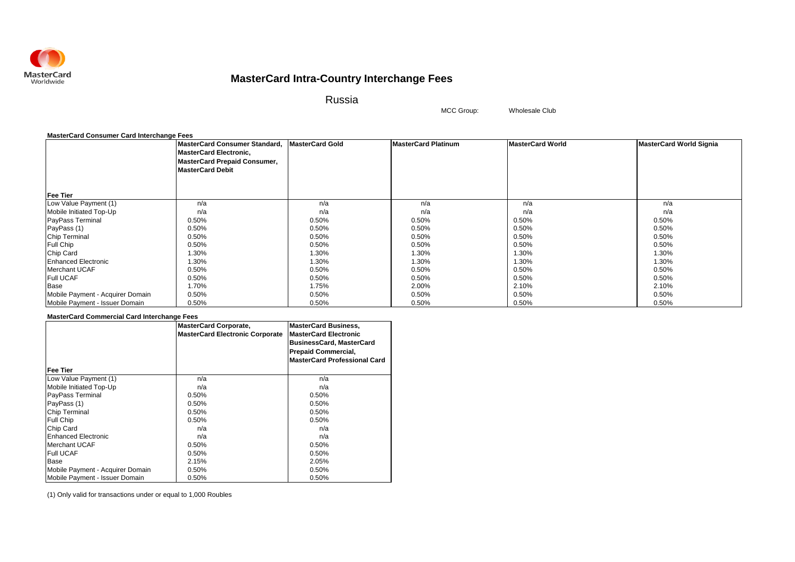

Russia

Wholesale Club

MCC Group:

|                                  | MasterCard Consumer Standard, MasterCard Gold<br><b>MasterCard Electronic,</b><br><b>MasterCard Prepaid Consumer,</b> |       | <b>MasterCard Platinum</b> | <b>MasterCard World</b> | <b>MasterCard World Signia</b> |
|----------------------------------|-----------------------------------------------------------------------------------------------------------------------|-------|----------------------------|-------------------------|--------------------------------|
|                                  | <b>MasterCard Debit</b>                                                                                               |       |                            |                         |                                |
| <b>Fee Tier</b>                  |                                                                                                                       |       |                            |                         |                                |
| Low Value Payment (1)            | n/a                                                                                                                   | n/a   | n/a                        | n/a                     | n/a                            |
| Mobile Initiated Top-Up          | n/a                                                                                                                   | n/a   | n/a                        | n/a                     | n/a                            |
| PayPass Terminal                 | 0.50%                                                                                                                 | 0.50% | 0.50%                      | 0.50%                   | 0.50%                          |
| PayPass (1)                      | 0.50%                                                                                                                 | 0.50% | 0.50%                      | 0.50%                   | 0.50%                          |
| Chip Terminal                    | 0.50%                                                                                                                 | 0.50% | 0.50%                      | 0.50%                   | 0.50%                          |
| Full Chip                        | 0.50%                                                                                                                 | 0.50% | 0.50%                      | 0.50%                   | 0.50%                          |
| Chip Card                        | 1.30%                                                                                                                 | 1.30% | 1.30%                      | 1.30%                   | 1.30%                          |
| <b>Enhanced Electronic</b>       | 1.30%                                                                                                                 | 1.30% | 1.30%                      | 1.30%                   | 1.30%                          |
| Merchant UCAF                    | 0.50%                                                                                                                 | 0.50% | 0.50%                      | 0.50%                   | 0.50%                          |
| <b>Full UCAF</b>                 | 0.50%                                                                                                                 | 0.50% | 0.50%                      | 0.50%                   | 0.50%                          |
| Base                             | 1.70%                                                                                                                 | 1.75% | 2.00%                      | 2.10%                   | 2.10%                          |
| Mobile Payment - Acquirer Domain | 0.50%                                                                                                                 | 0.50% | 0.50%                      | 0.50%                   | 0.50%                          |
| Mobile Payment - Issuer Domain   | 0.50%                                                                                                                 | 0.50% | 0.50%                      | 0.50%                   | 0.50%                          |

### **MasterCard Commercial Card Interchange Fees**

|                                   | <b>MasterCard Corporate,</b><br><b>MasterCard Electronic Corporate</b> | <b>MasterCard Business,</b><br><b>MasterCard Electronic</b><br><b>BusinessCard, MasterCard</b><br><b>Prepaid Commercial,</b><br><b>MasterCard Professional Card</b> |
|-----------------------------------|------------------------------------------------------------------------|---------------------------------------------------------------------------------------------------------------------------------------------------------------------|
| Fee Tier<br>Low Value Payment (1) | n/a                                                                    | n/a                                                                                                                                                                 |
|                                   |                                                                        |                                                                                                                                                                     |
| Mobile Initiated Top-Up           | n/a                                                                    | n/a                                                                                                                                                                 |
| PayPass Terminal                  | 0.50%                                                                  | 0.50%                                                                                                                                                               |
| PayPass (1)                       | 0.50%                                                                  | 0.50%                                                                                                                                                               |
| Chip Terminal                     | 0.50%                                                                  | 0.50%                                                                                                                                                               |
| Full Chip                         | 0.50%                                                                  | 0.50%                                                                                                                                                               |
| Chip Card                         | n/a                                                                    | n/a                                                                                                                                                                 |
| Enhanced Electronic               | n/a                                                                    | n/a                                                                                                                                                                 |
| <b>Merchant UCAF</b>              | 0.50%                                                                  | 0.50%                                                                                                                                                               |
| <b>Full UCAF</b>                  | 0.50%                                                                  | 0.50%                                                                                                                                                               |
| Base                              | 2.15%                                                                  | 2.05%                                                                                                                                                               |
| Mobile Payment - Acquirer Domain  | 0.50%                                                                  | 0.50%                                                                                                                                                               |
| Mobile Payment - Issuer Domain    | 0.50%                                                                  | 0.50%                                                                                                                                                               |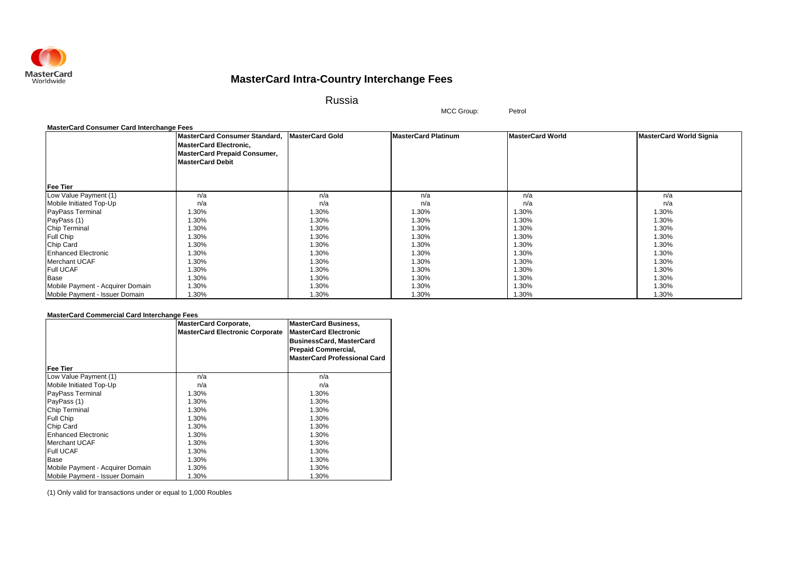

Russia

MCC Group: Petrol

#### **MasterCard Consumer Card Interchange Fees**

|                                  | MasterCard Consumer Standard,<br><b>MasterCard Electronic,</b><br><b>MasterCard Prepaid Consumer,</b> | <b>MasterCard Gold</b> | <b>MasterCard Platinum</b> | <b>MasterCard World</b> | <b>MasterCard World Signia</b> |
|----------------------------------|-------------------------------------------------------------------------------------------------------|------------------------|----------------------------|-------------------------|--------------------------------|
|                                  | <b>MasterCard Debit</b>                                                                               |                        |                            |                         |                                |
| <b>Fee Tier</b>                  |                                                                                                       |                        |                            |                         |                                |
| Low Value Payment (1)            | n/a                                                                                                   | n/a                    | n/a                        | n/a                     | n/a                            |
| Mobile Initiated Top-Up          | n/a                                                                                                   | n/a                    | n/a                        | n/a                     | n/a                            |
| PayPass Terminal                 | 1.30%                                                                                                 | 1.30%                  | 1.30%                      | 1.30%                   | 1.30%                          |
| PayPass (1)                      | 1.30%                                                                                                 | 1.30%                  | 1.30%                      | 1.30%                   | 1.30%                          |
| Chip Terminal                    | 1.30%                                                                                                 | 1.30%                  | 1.30%                      | 1.30%                   | 1.30%                          |
| Full Chip                        | 1.30%                                                                                                 | 1.30%                  | 1.30%                      | $1.30\%$                | 1.30%                          |
| Chip Card                        | 1.30%                                                                                                 | 1.30%                  | 1.30%                      | 1.30%                   | 1.30%                          |
| <b>Enhanced Electronic</b>       | 1.30%                                                                                                 | 1.30%                  | 1.30%                      | 1.30%                   | 1.30%                          |
| <b>Merchant UCAF</b>             | 1.30%                                                                                                 | 1.30%                  | 1.30%                      | 1.30%                   | 1.30%                          |
| <b>Full UCAF</b>                 | 1.30%                                                                                                 | 1.30%                  | 1.30%                      | 1.30%                   | 1.30%                          |
| Base                             | 1.30%                                                                                                 | 1.30%                  | 1.30%                      | 1.30%                   | 1.30%                          |
| Mobile Payment - Acquirer Domain | 1.30%                                                                                                 | 1.30%                  | 1.30%                      | 1.30%                   | 1.30%                          |
| Mobile Payment - Issuer Domain   | 1.30%                                                                                                 | 1.30%                  | 1.30%                      | 1.30%                   | 1.30%                          |

### **MasterCard Commercial Card Interchange Fees**

|                                  | <b>MasterCard Corporate,</b><br><b>MasterCard Electronic Corporate</b> | <b>MasterCard Business,</b><br><b>MasterCard Electronic</b><br><b>BusinessCard, MasterCard</b><br><b>Prepaid Commercial,</b><br><b>MasterCard Professional Card</b> |
|----------------------------------|------------------------------------------------------------------------|---------------------------------------------------------------------------------------------------------------------------------------------------------------------|
| Fee Tier                         |                                                                        |                                                                                                                                                                     |
| Low Value Payment (1)            | n/a                                                                    | n/a                                                                                                                                                                 |
| Mobile Initiated Top-Up          | n/a                                                                    | n/a                                                                                                                                                                 |
| PayPass Terminal                 | 1.30%                                                                  | 1.30%                                                                                                                                                               |
| PayPass (1)                      | 1.30%                                                                  | 1.30%                                                                                                                                                               |
| Chip Terminal                    | 1.30%                                                                  | 1.30%                                                                                                                                                               |
| Full Chip                        | 1.30%                                                                  | 1.30%                                                                                                                                                               |
| Chip Card                        | 1.30%                                                                  | 1.30%                                                                                                                                                               |
| <b>Enhanced Electronic</b>       | 1.30%                                                                  | 1.30%                                                                                                                                                               |
| Merchant UCAF                    | 1.30%                                                                  | 1.30%                                                                                                                                                               |
| <b>Full UCAF</b>                 | 1.30%                                                                  | 1.30%                                                                                                                                                               |
| Base                             | 1.30%                                                                  | 1.30%                                                                                                                                                               |
| Mobile Payment - Acquirer Domain | 1.30%                                                                  | 1.30%                                                                                                                                                               |
| Mobile Payment - Issuer Domain   | 1.30%                                                                  | 1.30%                                                                                                                                                               |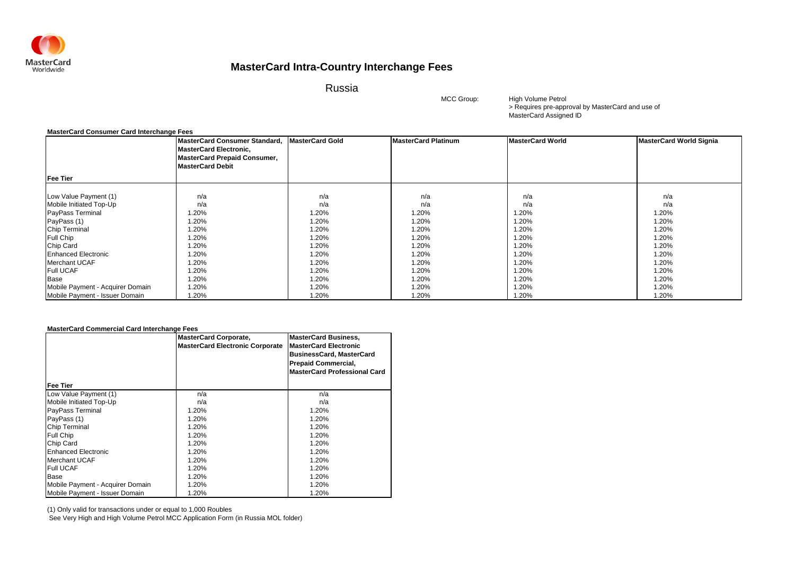

Russia

MCC Group:

> Requires pre-approval by MasterCard and use of MasterCard Assigned ID High Volume Petrol

#### **MasterCard Consumer Card Interchange Fees**

|                                  | <b>MasterCard Consumer Standard,</b><br><b>MasterCard Electronic,</b><br><b>MasterCard Prepaid Consumer,</b> | <b>MasterCard Gold</b> | <b>MasterCard Platinum</b> | <b>MasterCard World</b> | <b>MasterCard World Signia</b> |
|----------------------------------|--------------------------------------------------------------------------------------------------------------|------------------------|----------------------------|-------------------------|--------------------------------|
|                                  | <b>MasterCard Debit</b>                                                                                      |                        |                            |                         |                                |
| <b>Fee Tier</b>                  |                                                                                                              |                        |                            |                         |                                |
| Low Value Payment (1)            | n/a                                                                                                          | n/a                    | n/a                        | n/a                     | n/a                            |
| Mobile Initiated Top-Up          | n/a                                                                                                          | n/a                    | n/a                        | n/a                     | n/a                            |
| PayPass Terminal                 | 1.20%                                                                                                        | 1.20%                  | 1.20%                      | 1.20%                   | 1.20%                          |
| PayPass (1)                      | 1.20%                                                                                                        | 1.20%                  | 1.20%                      | 1.20%                   | 1.20%                          |
| Chip Terminal                    | 1.20%                                                                                                        | 1.20%                  | 1.20%                      | 1.20%                   | 1.20%                          |
| Full Chip                        | 1.20%                                                                                                        | 1.20%                  | 1.20%                      | 1.20%                   | 1.20%                          |
| Chip Card                        | 1.20%                                                                                                        | 1.20%                  | 1.20%                      | 1.20%                   | 1.20%                          |
| <b>Enhanced Electronic</b>       | 1.20%                                                                                                        | 1.20%                  | 1.20%                      | 1.20%                   | 1.20%                          |
| Merchant UCAF                    | 1.20%                                                                                                        | 1.20%                  | 1.20%                      | 1.20%                   | 1.20%                          |
| <b>Full UCAF</b>                 | 1.20%                                                                                                        | 1.20%                  | 1.20%                      | 1.20%                   | 1.20%                          |
| Base                             | 1.20%                                                                                                        | 1.20%                  | 1.20%                      | 1.20%                   | 1.20%                          |
| Mobile Payment - Acquirer Domain | 1.20%                                                                                                        | 1.20%                  | 1.20%                      | 1.20%                   | 1.20%                          |
| Mobile Payment - Issuer Domain   | 1.20%                                                                                                        | 1.20%                  | 1.20%                      | 1.20%                   | 1.20%                          |

#### **MasterCard Commercial Card Interchange Fees**

|                                  | <b>MasterCard Corporate,</b><br>MasterCard Electronic Corporate | <b>MasterCard Business,</b><br><b>MasterCard Electronic</b><br><b>BusinessCard, MasterCard</b><br><b>Prepaid Commercial,</b> |
|----------------------------------|-----------------------------------------------------------------|------------------------------------------------------------------------------------------------------------------------------|
| <b>Fee Tier</b>                  |                                                                 | <b>MasterCard Professional Card</b>                                                                                          |
| Low Value Payment (1)            | n/a                                                             | n/a                                                                                                                          |
| Mobile Initiated Top-Up          | n/a                                                             | n/a                                                                                                                          |
| PayPass Terminal                 | 1.20%                                                           | 1.20%                                                                                                                        |
| PayPass (1)                      | 1.20%                                                           | 1.20%                                                                                                                        |
| Chip Terminal                    | 1.20%                                                           | 1.20%                                                                                                                        |
| Full Chip                        | 1.20%                                                           | 1.20%                                                                                                                        |
| Chip Card                        | 1.20%                                                           | 1.20%                                                                                                                        |
| <b>Enhanced Electronic</b>       | 1.20%                                                           | 1.20%                                                                                                                        |
| <b>Merchant UCAF</b>             | 1.20%                                                           | 1.20%                                                                                                                        |
| <b>Full UCAF</b>                 | 1.20%                                                           | 1.20%                                                                                                                        |
| Base                             | 1.20%                                                           | 1.20%                                                                                                                        |
| Mobile Payment - Acquirer Domain | 1.20%                                                           | 1.20%                                                                                                                        |
| Mobile Payment - Issuer Domain   | 1.20%                                                           | 1.20%                                                                                                                        |

(1) Only valid for transactions under or equal to 1,000 Roubles

See Very High and High Volume Petrol MCC Application Form (in Russia MOL folder)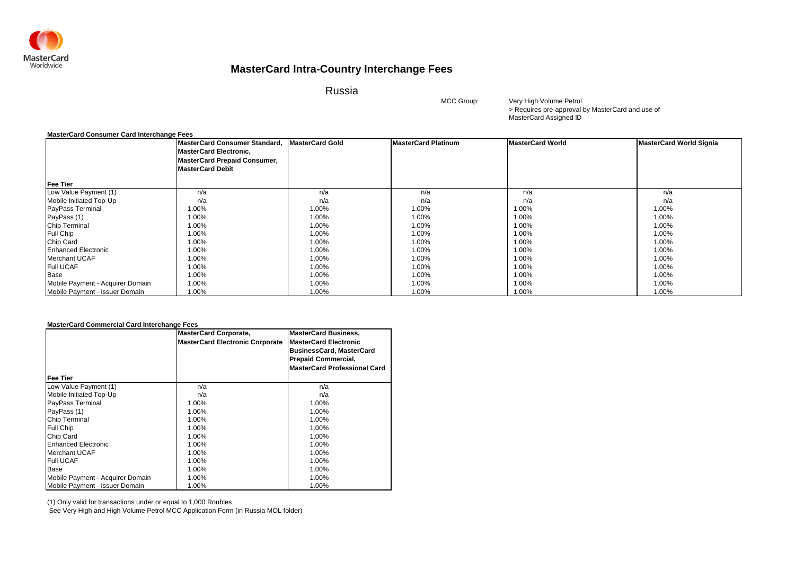

Russia

MCC Group:

> Requires pre-approval by MasterCard and use of MasterCard Assigned ID Very High Volume Petrol

### **MasterCard Consumer Card Interchange Fees**

|                                  | MasterCard Consumer Standard,<br><b>MasterCard Electronic,</b> | <b>MasterCard Gold</b> | <b>MasterCard Platinum</b> | <b>MasterCard World</b> | <b>MasterCard World Signia</b> |
|----------------------------------|----------------------------------------------------------------|------------------------|----------------------------|-------------------------|--------------------------------|
|                                  | <b>MasterCard Prepaid Consumer,</b>                            |                        |                            |                         |                                |
|                                  | <b>MasterCard Debit</b>                                        |                        |                            |                         |                                |
| <b>Fee Tier</b>                  |                                                                |                        |                            |                         |                                |
| Low Value Payment (1)            | n/a                                                            | n/a                    | n/a                        | n/a                     | n/a                            |
| Mobile Initiated Top-Up          | n/a                                                            | n/a                    | n/a                        | n/a                     | n/a                            |
| PayPass Terminal                 | 1.00%                                                          | 1.00%                  | 1.00%                      | 1.00%                   | 1.00%                          |
| PayPass (1)                      | 1.00%                                                          | 1.00%                  | 1.00%                      | 1.00%                   | 1.00%                          |
| <b>Chip Terminal</b>             | 1.00%                                                          | 1.00%                  | 1.00%                      | 1.00%                   | 1.00%                          |
| Full Chip                        | 1.00%                                                          | 1.00%                  | 1.00%                      | 1.00%                   | 1.00%                          |
| Chip Card                        | 1.00%                                                          | 1.00%                  | 1.00%                      | 1.00%                   | 1.00%                          |
| <b>Enhanced Electronic</b>       | 1.00%                                                          | 1.00%                  | 1.00%                      | 1.00%                   | 1.00%                          |
| <b>Merchant UCAF</b>             | 1.00%                                                          | 1.00%                  | 1.00%                      | 1.00%                   | 1.00%                          |
| <b>Full UCAF</b>                 | 1.00%                                                          | 1.00%                  | 1.00%                      | 1.00%                   | 1.00%                          |
| Base                             | 1.00%                                                          | 1.00%                  | 1.00%                      | 1.00%                   | 1.00%                          |
| Mobile Payment - Acquirer Domain | 1.00%                                                          | 1.00%                  | 1.00%                      | 1.00%                   | 1.00%                          |
| Mobile Payment - Issuer Domain   | 1.00%                                                          | 1.00%                  | 1.00%                      | 1.00%                   | 1.00%                          |

### **MasterCard Commercial Card Interchange Fees**

|                                  | <b>MasterCard Corporate,</b><br><b>MasterCard Electronic Corporate</b> | <b>MasterCard Business,</b><br><b>MasterCard Electronic</b><br><b>BusinessCard, MasterCard</b><br><b>Prepaid Commercial,</b><br><b>MasterCard Professional Card</b> |
|----------------------------------|------------------------------------------------------------------------|---------------------------------------------------------------------------------------------------------------------------------------------------------------------|
| Fee Tier                         |                                                                        |                                                                                                                                                                     |
| Low Value Payment (1)            | n/a                                                                    | n/a                                                                                                                                                                 |
| Mobile Initiated Top-Up          | n/a                                                                    | n/a                                                                                                                                                                 |
| PayPass Terminal                 | 1.00%                                                                  | 1.00%                                                                                                                                                               |
| PayPass (1)                      | 1.00%                                                                  | 1.00%                                                                                                                                                               |
| <b>Chip Terminal</b>             | 1.00%                                                                  | 1.00%                                                                                                                                                               |
| <b>Full Chip</b>                 | 1.00%                                                                  | 1.00%                                                                                                                                                               |
| Chip Card                        | 1.00%                                                                  | 1.00%                                                                                                                                                               |
| <b>Enhanced Electronic</b>       | 1.00%                                                                  | 1.00%                                                                                                                                                               |
| <b>Merchant UCAF</b>             | 1.00%                                                                  | 1.00%                                                                                                                                                               |
| <b>Full UCAF</b>                 | 1.00%                                                                  | 1.00%                                                                                                                                                               |
| Base                             | 1.00%                                                                  | 1.00%                                                                                                                                                               |
| Mobile Payment - Acquirer Domain | 1.00%                                                                  | 1.00%                                                                                                                                                               |
| Mobile Payment - Issuer Domain   | 1.00%                                                                  | 1.00%                                                                                                                                                               |

(1) Only valid for transactions under or equal to 1,000 Roubles

See Very High and High Volume Petrol MCC Application Form (in Russia MOL folder)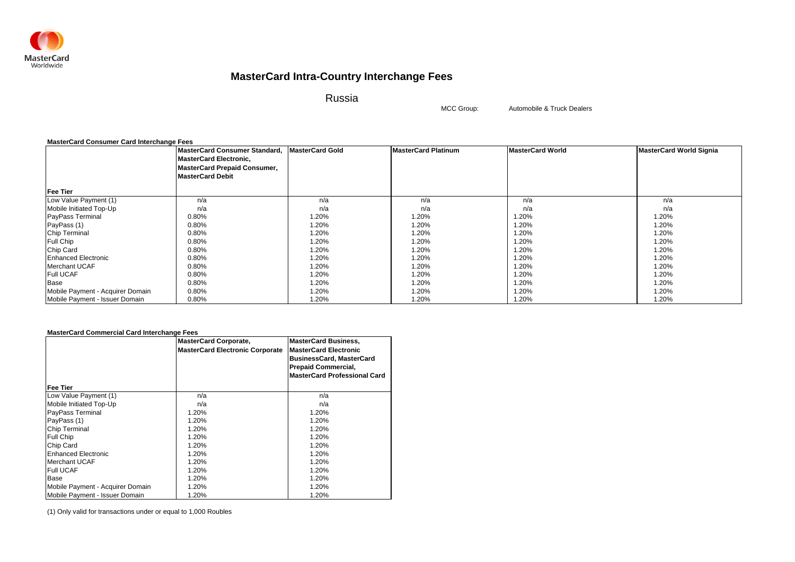

Russia

MCC Group:

Automobile & Truck Dealers

### **MasterCard Consumer Card Interchange Fees**

|                                  | MasterCard Consumer Standard, MasterCard Gold<br><b>MasterCard Electronic,</b><br><b>MasterCard Prepaid Consumer,</b><br><b>MasterCard Debit</b> |       | <b>MasterCard Platinum</b> | <b>MasterCard World</b> | <b>MasterCard World Signia</b> |
|----------------------------------|--------------------------------------------------------------------------------------------------------------------------------------------------|-------|----------------------------|-------------------------|--------------------------------|
| <b>Fee Tier</b>                  |                                                                                                                                                  |       |                            |                         |                                |
| Low Value Payment (1)            | n/a                                                                                                                                              | n/a   | n/a                        | n/a                     | n/a                            |
| Mobile Initiated Top-Up          | n/a                                                                                                                                              | n/a   | n/a                        | n/a                     | n/a                            |
| PayPass Terminal                 | 0.80%                                                                                                                                            | 1.20% | 1.20%                      | .20%                    | 1.20%                          |
| PayPass (1)                      | 0.80%                                                                                                                                            | 1.20% | 1.20%                      | .20%                    | 1.20%                          |
| Chip Terminal                    | 0.80%                                                                                                                                            | 1.20% | 1.20%                      | .20%                    | 1.20%                          |
| <b>Full Chip</b>                 | 0.80%                                                                                                                                            | 1.20% | 1.20%                      | 1.20%                   | 1.20%                          |
| Chip Card                        | 0.80%                                                                                                                                            | 1.20% | 1.20%                      | .20%                    | 1.20%                          |
| <b>Enhanced Electronic</b>       | 0.80%                                                                                                                                            | 1.20% | 1.20%                      | 1.20%                   | 1.20%                          |
| <b>Merchant UCAF</b>             | 0.80%                                                                                                                                            | 1.20% | 1.20%                      | 1.20%                   | 1.20%                          |
| <b>Full UCAF</b>                 | 0.80%                                                                                                                                            | 1.20% | 1.20%                      | .20%                    | 1.20%                          |
| Base                             | 0.80%                                                                                                                                            | 1.20% | 1.20%                      | .20%                    | 1.20%                          |
| Mobile Payment - Acquirer Domain | 0.80%                                                                                                                                            | 1.20% | 1.20%                      | 1.20%                   | 1.20%                          |
| Mobile Payment - Issuer Domain   | 0.80%                                                                                                                                            | 1.20% | 1.20%                      | 1.20%                   | 1.20%                          |

### **MasterCard Commercial Card Interchange Fees**

|                                  | <b>MasterCard Corporate,</b>           | <b>MasterCard Business,</b>         |
|----------------------------------|----------------------------------------|-------------------------------------|
|                                  | <b>MasterCard Electronic Corporate</b> | <b>MasterCard Electronic</b>        |
|                                  |                                        | <b>BusinessCard, MasterCard</b>     |
|                                  |                                        | <b>Prepaid Commercial,</b>          |
|                                  |                                        | <b>MasterCard Professional Card</b> |
| <b>Fee Tier</b>                  |                                        |                                     |
| Low Value Payment (1)            | n/a                                    | n/a                                 |
| Mobile Initiated Top-Up          | n/a                                    | n/a                                 |
| <b>PayPass Terminal</b>          | 1.20%                                  | 1.20%                               |
| PayPass (1)                      | 1.20%                                  | 1.20%                               |
| <b>Chip Terminal</b>             | 1.20%                                  | 1.20%                               |
| Full Chip                        | 1.20%                                  | 1.20%                               |
| Chip Card                        | 1.20%                                  | 1.20%                               |
| <b>Enhanced Electronic</b>       | 1.20%                                  | 1.20%                               |
| <b>Merchant UCAF</b>             | 1.20%                                  | 1.20%                               |
| <b>Full UCAF</b>                 | 1.20%                                  | 1.20%                               |
| Base                             | 1.20%                                  | 1.20%                               |
| Mobile Payment - Acquirer Domain | 1.20%                                  | 1.20%                               |
| Mobile Payment - Issuer Domain   | 1.20%                                  | 1.20%                               |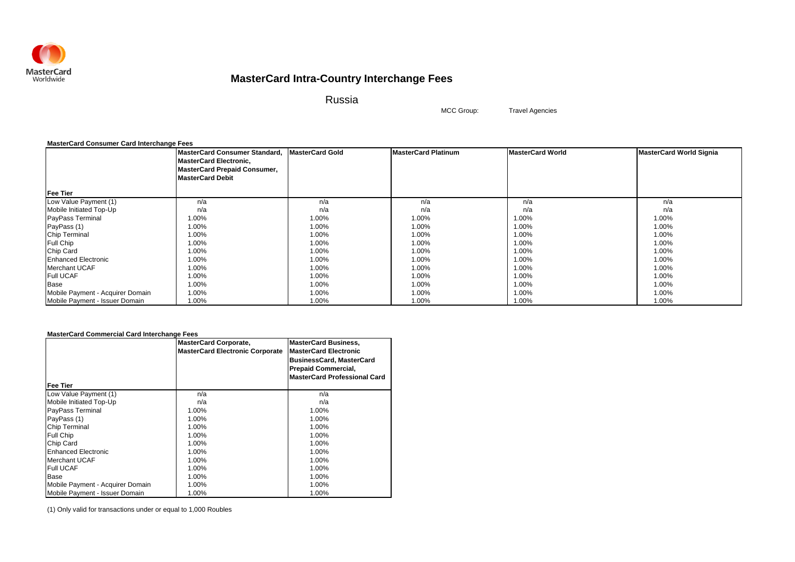

Russia

Travel Agencies

MCC Group:

### **MasterCard Consumer Card Interchange Fees**

|                                  | MasterCard Consumer Standard, MasterCard Gold<br><b>MasterCard Electronic,</b><br><b>MasterCard Prepaid Consumer,</b> |       | <b>MasterCard Platinum</b> | <b>MasterCard World</b> | <b>MasterCard World Signia</b> |
|----------------------------------|-----------------------------------------------------------------------------------------------------------------------|-------|----------------------------|-------------------------|--------------------------------|
|                                  | <b>MasterCard Debit</b>                                                                                               |       |                            |                         |                                |
| <b>Fee Tier</b>                  |                                                                                                                       |       |                            |                         |                                |
| Low Value Payment (1)            | n/a                                                                                                                   | n/a   | n/a                        | n/a                     | n/a                            |
| Mobile Initiated Top-Up          | n/a                                                                                                                   | n/a   | n/a                        | n/a                     | n/a                            |
| PayPass Terminal                 | 1.00%                                                                                                                 | 1.00% | 1.00%                      | 1.00%                   | 1.00%                          |
| PayPass (1)                      | 1.00%                                                                                                                 | 1.00% | 1.00%                      | .00%                    | 1.00%                          |
| Chip Terminal                    | 1.00%                                                                                                                 | 1.00% | 1.00%                      | $1.00\%$                | 1.00%                          |
| Full Chip                        | 1.00%                                                                                                                 | 1.00% | 1.00%                      | .00%                    | 1.00%                          |
| Chip Card                        | 1.00%                                                                                                                 | 1.00% | 1.00%                      | 1.00%                   | 1.00%                          |
| <b>Enhanced Electronic</b>       | 1.00%                                                                                                                 | 1.00% | 1.00%                      | 1.00%                   | 1.00%                          |
| Merchant UCAF                    | 1.00%                                                                                                                 | 1.00% | 1.00%                      | 1.00%                   | 1.00%                          |
| <b>Full UCAF</b>                 | 1.00%                                                                                                                 | 1.00% | 1.00%                      | .00%                    | 1.00%                          |
| Base                             | 1.00%                                                                                                                 | 1.00% | 1.00%                      | 1.00%                   | 1.00%                          |
| Mobile Payment - Acquirer Domain | 1.00%                                                                                                                 | 1.00% | 1.00%                      | 1.00%                   | 1.00%                          |
| Mobile Payment - Issuer Domain   | 1.00%                                                                                                                 | 1.00% | 1.00%                      | 1.00%                   | 1.00%                          |

### **MasterCard Commercial Card Interchange Fees**

|                                  | <b>MasterCard Corporate,</b><br><b>MasterCard Electronic Corporate</b> | <b>MasterCard Business,</b><br><b>MasterCard Electronic</b><br><b>BusinessCard, MasterCard</b> |
|----------------------------------|------------------------------------------------------------------------|------------------------------------------------------------------------------------------------|
|                                  |                                                                        | <b>Prepaid Commercial,</b>                                                                     |
| Fee Tier                         |                                                                        | <b>MasterCard Professional Card</b>                                                            |
| Low Value Payment (1)            | n/a                                                                    | n/a                                                                                            |
| Mobile Initiated Top-Up          | n/a                                                                    | n/a                                                                                            |
| PayPass Terminal                 | 1.00%                                                                  | 1.00%                                                                                          |
| PayPass (1)                      | 1.00%                                                                  | 1.00%                                                                                          |
| <b>Chip Terminal</b>             | 1.00%                                                                  | 1.00%                                                                                          |
| Full Chip                        | 1.00%                                                                  | 1.00%                                                                                          |
| Chip Card                        | 1.00%                                                                  | 1.00%                                                                                          |
| <b>Enhanced Electronic</b>       | 1.00%                                                                  | 1.00%                                                                                          |
| <b>Merchant UCAF</b>             | 1.00%                                                                  | 1.00%                                                                                          |
| <b>Full UCAF</b>                 | 1.00%                                                                  | 1.00%                                                                                          |
| Base                             | 1.00%                                                                  | 1.00%                                                                                          |
| Mobile Payment - Acquirer Domain | 1.00%                                                                  | 1.00%                                                                                          |
| Mobile Payment - Issuer Domain   | 1.00%                                                                  | 1.00%                                                                                          |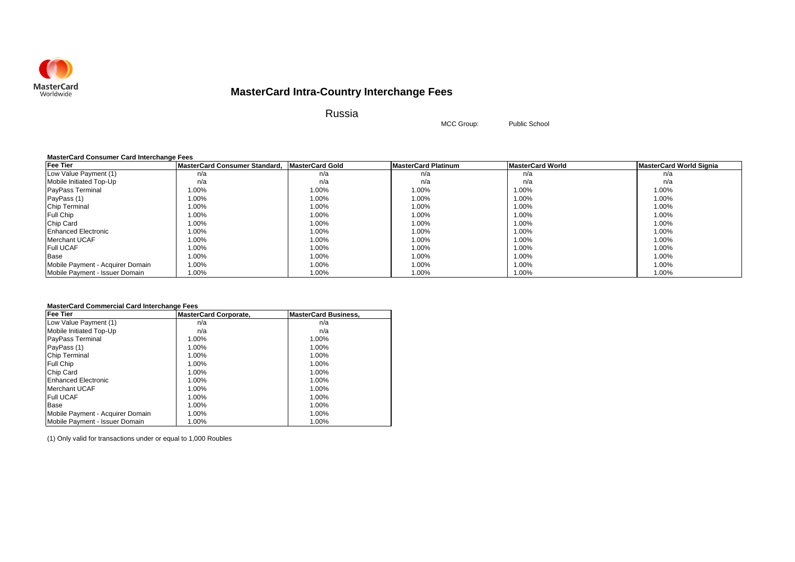

Russia

MCC Group: Public School

### **MasterCard Consumer Card Interchange Fees**

| <b>Fee Tier</b>                  | MasterCard Consumer Standard. MasterCard Gold |       | <b>MasterCard Platinum</b> | <b>MasterCard World</b> | MasterCard World Signia |
|----------------------------------|-----------------------------------------------|-------|----------------------------|-------------------------|-------------------------|
| Low Value Payment (1)            | n/a                                           | n/a   | n/a                        | n/a                     | n/a                     |
| Mobile Initiated Top-Up          | n/a                                           | n/a   | n/a                        | n/a                     | n/a                     |
| <b>PayPass Terminal</b>          | 1.00%                                         | 1.00% | 1.00%                      | 1.00%                   | 1.00%                   |
| PayPass (1)                      | 1.00%                                         | 1.00% | 1.00%                      | 1.00%                   | 1.00%                   |
| Chip Terminal                    | 1.00%                                         | 1.00% | 1.00%                      | 1.00%                   | 1.00%                   |
| <b>Full Chip</b>                 | 1.00%                                         | 1.00% | 1.00%                      | 1.00%                   | 1.00%                   |
| Chip Card                        | 1.00%                                         | 1.00% | 1.00%                      | 1.00%                   | 1.00%                   |
| <b>Enhanced Electronic</b>       | 1.00%                                         | 1.00% | 1.00%                      | 1.00%                   | 1.00%                   |
| Merchant UCAF                    | 1.00%                                         | 1.00% | 1.00%                      | 1.00%                   | 1.00%                   |
| <b>Full UCAF</b>                 | 1.00%                                         | 1.00% | 1.00%                      | 1.00%                   | 1.00%                   |
| <b>Base</b>                      | 1.00%                                         | 1.00% | 1.00%                      | 1.00%                   | 1.00%                   |
| Mobile Payment - Acquirer Domain | 1.00%                                         | 1.00% | 1.00%                      | 1.00%                   | 1.00%                   |
| Mobile Payment - Issuer Domain   | 1.00%                                         | 1.00% | 1.00%                      | 1.00%                   | 1.00%                   |

### **MasterCard Commercial Card Interchange Fees**

| <b>Fee Tier</b>                  | <b>MasterCard Corporate,</b> | <b>MasterCard Business,</b> |
|----------------------------------|------------------------------|-----------------------------|
| Low Value Payment (1)            | n/a                          | n/a                         |
| Mobile Initiated Top-Up          | n/a                          | n/a                         |
| <b>PayPass Terminal</b>          | 1.00%                        | 1.00%                       |
| PayPass (1)                      | 1.00%                        | 1.00%                       |
| <b>Chip Terminal</b>             | 1.00%                        | 1.00%                       |
| Full Chip                        | 1.00%                        | 1.00%                       |
| Chip Card                        | 1.00%                        | 1.00%                       |
| <b>Enhanced Electronic</b>       | 1.00%                        | 1.00%                       |
| Merchant UCAF                    | 1.00%                        | 1.00%                       |
| <b>Full UCAF</b>                 | 1.00%                        | 1.00%                       |
| Base                             | 1.00%                        | 1.00%                       |
| Mobile Payment - Acquirer Domain | 1.00%                        | 1.00%                       |
| Mobile Payment - Issuer Domain   | 1.00%                        | 1.00%                       |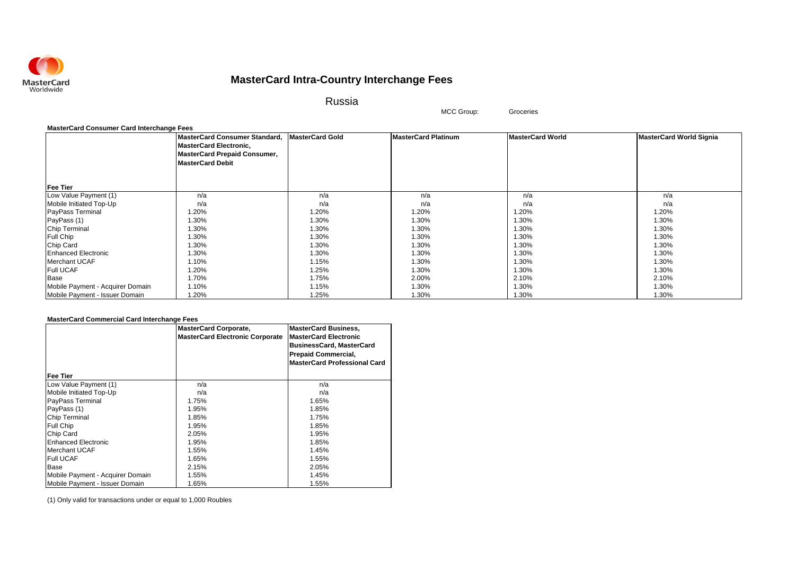

Russia

MCC Group: Groceries

#### **MasterCard Consumer Card Interchange Fees**

|                                  | MasterCard Consumer Standard,       | <b>MasterCard Gold</b> | <b>MasterCard Platinum</b> | <b>MasterCard World</b> | <b>MasterCard World Signia</b> |
|----------------------------------|-------------------------------------|------------------------|----------------------------|-------------------------|--------------------------------|
|                                  | <b>MasterCard Electronic,</b>       |                        |                            |                         |                                |
|                                  | <b>MasterCard Prepaid Consumer,</b> |                        |                            |                         |                                |
|                                  | <b>MasterCard Debit</b>             |                        |                            |                         |                                |
|                                  |                                     |                        |                            |                         |                                |
|                                  |                                     |                        |                            |                         |                                |
| <b>Fee Tier</b>                  |                                     |                        |                            |                         |                                |
| Low Value Payment (1)            | n/a                                 | n/a                    | n/a                        | n/a                     | n/a                            |
| Mobile Initiated Top-Up          | n/a                                 | n/a                    | n/a                        | n/a                     | n/a                            |
| PayPass Terminal                 | 1.20%                               | 1.20%                  | 1.20%                      | 1.20%                   | 1.20%                          |
| PayPass (1)                      | 1.30%                               | 1.30%                  | 1.30%                      | 1.30%                   | 1.30%                          |
| <b>Chip Terminal</b>             | 1.30%                               | 1.30%                  | 1.30%                      | 1.30%                   | 1.30%                          |
| Full Chip                        | 1.30%                               | 1.30%                  | 1.30%                      | 1.30%                   | 1.30%                          |
| Chip Card                        | 1.30%                               | 1.30%                  | 1.30%                      | 1.30%                   | 1.30%                          |
| <b>Enhanced Electronic</b>       | 1.30%                               | 1.30%                  | 1.30%                      | 1.30%                   | 1.30%                          |
| <b>Merchant UCAF</b>             | 1.10%                               | 1.15%                  | 1.30%                      | 1.30%                   | 1.30%                          |
| <b>Full UCAF</b>                 | 1.20%                               | 1.25%                  | 1.30%                      | 1.30%                   | 1.30%                          |
| Base                             | 1.70%                               | 1.75%                  | 2.00%                      | 2.10%                   | 2.10%                          |
| Mobile Payment - Acquirer Domain | 1.10%                               | 1.15%                  | 1.30%                      | 1.30%                   | 1.30%                          |
| Mobile Payment - Issuer Domain   | 1.20%                               | 1.25%                  | 1.30%                      | 1.30%                   | 1.30%                          |

### **MasterCard Commercial Card Interchange Fees**

|                                  | <b>MasterCard Corporate,</b><br><b>MasterCard Electronic Corporate</b> | <b>MasterCard Business,</b><br><b>MasterCard Electronic</b><br><b>BusinessCard, MasterCard</b><br><b>Prepaid Commercial,</b><br><b>MasterCard Professional Card</b> |
|----------------------------------|------------------------------------------------------------------------|---------------------------------------------------------------------------------------------------------------------------------------------------------------------|
| Fee Tier                         |                                                                        |                                                                                                                                                                     |
| Low Value Payment (1)            | n/a                                                                    | n/a                                                                                                                                                                 |
| Mobile Initiated Top-Up          | n/a                                                                    | n/a                                                                                                                                                                 |
| <b>PayPass Terminal</b>          | 1.75%                                                                  | 1.65%                                                                                                                                                               |
| PayPass (1)                      | 1.95%                                                                  | 1.85%                                                                                                                                                               |
| <b>Chip Terminal</b>             | 1.85%                                                                  | 1.75%                                                                                                                                                               |
| Full Chip                        | 1.95%                                                                  | 1.85%                                                                                                                                                               |
| Chip Card                        | 2.05%                                                                  | 1.95%                                                                                                                                                               |
| Enhanced Electronic              | 1.95%                                                                  | 1.85%                                                                                                                                                               |
| Merchant UCAF                    | 1.55%                                                                  | 1.45%                                                                                                                                                               |
| <b>Full UCAF</b>                 | 1.65%                                                                  | 1.55%                                                                                                                                                               |
| <b>Base</b>                      | 2.15%                                                                  | 2.05%                                                                                                                                                               |
| Mobile Payment - Acquirer Domain | 1.55%                                                                  | 1.45%                                                                                                                                                               |
| Mobile Payment - Issuer Domain   | 1.65%                                                                  | 1.55%                                                                                                                                                               |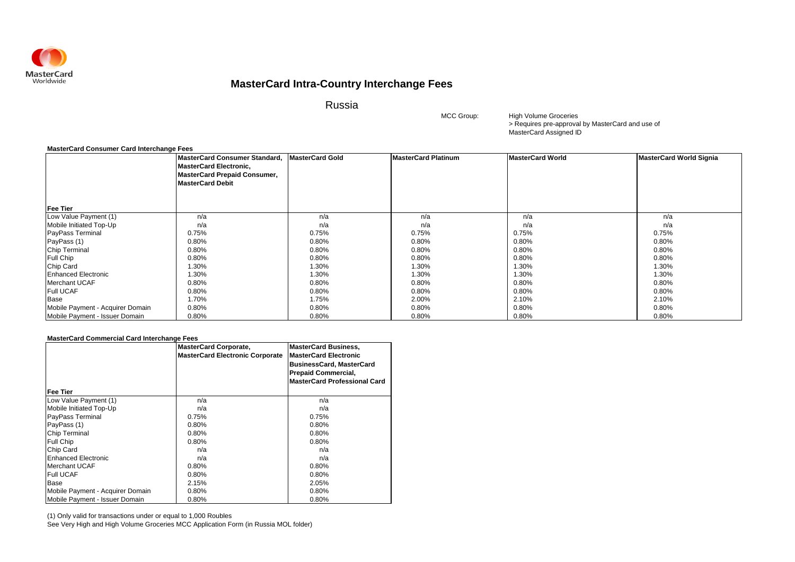

Russia

MCC Group:

> Requires pre-approval by MasterCard and use of MasterCard Assigned ID High Volume Groceries

### **MasterCard Consumer Card Interchange Fees**

|                                  | MasterCard Consumer Standard, MasterCard Gold<br><b>MasterCard Electronic,</b> |       | <b>MasterCard Platinum</b> | <b>MasterCard World</b> | <b>MasterCard World Signia</b> |
|----------------------------------|--------------------------------------------------------------------------------|-------|----------------------------|-------------------------|--------------------------------|
|                                  | <b>MasterCard Prepaid Consumer,</b>                                            |       |                            |                         |                                |
|                                  | <b>MasterCard Debit</b>                                                        |       |                            |                         |                                |
|                                  |                                                                                |       |                            |                         |                                |
| <b>Fee Tier</b>                  |                                                                                |       |                            |                         |                                |
| Low Value Payment (1)            | n/a                                                                            | n/a   | n/a                        | n/a                     | n/a                            |
| Mobile Initiated Top-Up          | n/a                                                                            | n/a   | n/a                        | n/a                     | n/a                            |
| PayPass Terminal                 | 0.75%                                                                          | 0.75% | 0.75%                      | 0.75%                   | 0.75%                          |
| PayPass (1)                      | 0.80%                                                                          | 0.80% | 0.80%                      | 0.80%                   | 0.80%                          |
| Chip Terminal                    | 0.80%                                                                          | 0.80% | 0.80%                      | 0.80%                   | 0.80%                          |
| <b>Full Chip</b>                 | 0.80%                                                                          | 0.80% | 0.80%                      | 0.80%                   | 0.80%                          |
| Chip Card                        | 1.30%                                                                          | 1.30% | 1.30%                      | 1.30%                   | 1.30%                          |
| <b>Enhanced Electronic</b>       | 1.30%                                                                          | 1.30% | 1.30%                      | 1.30%                   | 1.30%                          |
| <b>Merchant UCAF</b>             | 0.80%                                                                          | 0.80% | 0.80%                      | 0.80%                   | 0.80%                          |
| <b>Full UCAF</b>                 | 0.80%                                                                          | 0.80% | 0.80%                      | 0.80%                   | 0.80%                          |
| Base                             | 1.70%                                                                          | 1.75% | 2.00%                      | 2.10%                   | 2.10%                          |
| Mobile Payment - Acquirer Domain | 0.80%                                                                          | 0.80% | 0.80%                      | 0.80%                   | 0.80%                          |
| Mobile Payment - Issuer Domain   | 0.80%                                                                          | 0.80% | 0.80%                      | 0.80%                   | 0.80%                          |

### **MasterCard Commercial Card Interchange Fees**

|                                  | <b>MasterCard Corporate,</b><br><b>MasterCard Electronic Corporate</b> | <b>MasterCard Business,</b><br><b>MasterCard Electronic</b><br><b>BusinessCard, MasterCard</b><br><b>Prepaid Commercial,</b><br><b>MasterCard Professional Card</b> |
|----------------------------------|------------------------------------------------------------------------|---------------------------------------------------------------------------------------------------------------------------------------------------------------------|
| <b>Fee Tier</b>                  |                                                                        |                                                                                                                                                                     |
| Low Value Payment (1)            | n/a                                                                    | n/a                                                                                                                                                                 |
| Mobile Initiated Top-Up          | n/a                                                                    | n/a                                                                                                                                                                 |
| PayPass Terminal                 | 0.75%                                                                  | 0.75%                                                                                                                                                               |
| PayPass (1)                      | 0.80%                                                                  | 0.80%                                                                                                                                                               |
| <b>Chip Terminal</b>             | 0.80%                                                                  | 0.80%                                                                                                                                                               |
| <b>Full Chip</b>                 | 0.80%                                                                  | 0.80%                                                                                                                                                               |
| Chip Card                        | n/a                                                                    | n/a                                                                                                                                                                 |
| <b>Enhanced Electronic</b>       | n/a                                                                    | n/a                                                                                                                                                                 |
| Merchant UCAF                    | 0.80%                                                                  | 0.80%                                                                                                                                                               |
| <b>Full UCAF</b>                 | 0.80%                                                                  | 0.80%                                                                                                                                                               |
| Base                             | 2.15%                                                                  | 2.05%                                                                                                                                                               |
| Mobile Payment - Acquirer Domain | 0.80%                                                                  | 0.80%                                                                                                                                                               |
| Mobile Payment - Issuer Domain   | 0.80%                                                                  | 0.80%                                                                                                                                                               |

(1) Only valid for transactions under or equal to 1,000 Roubles

See Very High and High Volume Groceries MCC Application Form (in Russia MOL folder)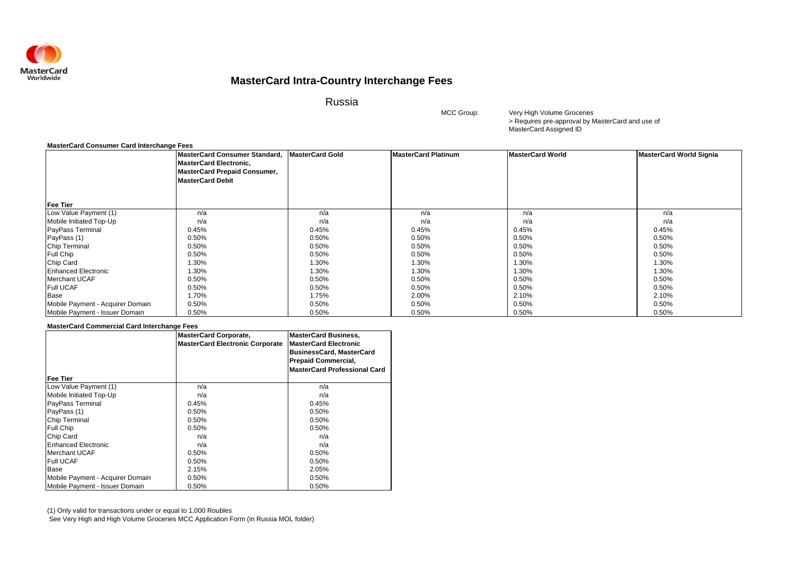

Russia

MCC Group:

> Requires pre-approval by MasterCard and use of MasterCard Assigned ID Very High Volume Groceries

#### **MasterCard Consumer Card Interchange Fees**

|                                  | MasterCard Consumer Standard,<br><b>MasterCard Electronic,</b><br><b>MasterCard Prepaid Consumer,</b><br><b>MasterCard Debit</b> | <b>MasterCard Gold</b> | <b>MasterCard Platinum</b> | <b>MasterCard World</b> | <b>MasterCard World Signia</b> |
|----------------------------------|----------------------------------------------------------------------------------------------------------------------------------|------------------------|----------------------------|-------------------------|--------------------------------|
| <b>Fee Tier</b>                  |                                                                                                                                  |                        |                            |                         |                                |
| Low Value Payment (1)            | n/a                                                                                                                              | n/a                    | n/a                        | n/a                     | n/a                            |
| Mobile Initiated Top-Up          | n/a                                                                                                                              | n/a                    | n/a                        | n/a                     | n/a                            |
| PayPass Terminal                 | 0.45%                                                                                                                            | 0.45%                  | 0.45%                      | 0.45%                   | 0.45%                          |
| PayPass (1)                      | 0.50%                                                                                                                            | 0.50%                  | 0.50%                      | 0.50%                   | 0.50%                          |
| Chip Terminal                    | 0.50%                                                                                                                            | 0.50%                  | 0.50%                      | 0.50%                   | 0.50%                          |
| Full Chip                        | 0.50%                                                                                                                            | 0.50%                  | 0.50%                      | 0.50%                   | 0.50%                          |
| Chip Card                        | 1.30%                                                                                                                            | 1.30%                  | 1.30%                      | 1.30%                   | 1.30%                          |
| <b>Enhanced Electronic</b>       | 1.30%                                                                                                                            | 1.30%                  | 1.30%                      | 1.30%                   | 1.30%                          |
| <b>Merchant UCAF</b>             | 0.50%                                                                                                                            | 0.50%                  | 0.50%                      | 0.50%                   | 0.50%                          |
| <b>Full UCAF</b>                 | 0.50%                                                                                                                            | 0.50%                  | 0.50%                      | 0.50%                   | 0.50%                          |
| Base                             | 1.70%                                                                                                                            | 1.75%                  | 2.00%                      | 2.10%                   | 2.10%                          |
| Mobile Payment - Acquirer Domain | 0.50%                                                                                                                            | 0.50%                  | 0.50%                      | 0.50%                   | 0.50%                          |
| Mobile Payment - Issuer Domain   | 0.50%                                                                                                                            | 0.50%                  | 0.50%                      | 0.50%                   | 0.50%                          |

### **MasterCard Commercial Card Interchange Fees**

|                                  | <b>MasterCard Corporate,</b><br><b>MasterCard Electronic Corporate</b> | <b>MasterCard Business,</b><br><b>MasterCard Electronic</b><br><b>BusinessCard, MasterCard</b><br><b>Prepaid Commercial,</b><br><b>MasterCard Professional Card</b> |
|----------------------------------|------------------------------------------------------------------------|---------------------------------------------------------------------------------------------------------------------------------------------------------------------|
| Fee Tier                         |                                                                        |                                                                                                                                                                     |
| Low Value Payment (1)            | n/a                                                                    | n/a                                                                                                                                                                 |
| Mobile Initiated Top-Up          | n/a                                                                    | n/a                                                                                                                                                                 |
| <b>PayPass Terminal</b>          | 0.45%                                                                  | 0.45%                                                                                                                                                               |
| PayPass (1)                      | 0.50%                                                                  | 0.50%                                                                                                                                                               |
| <b>Chip Terminal</b>             | 0.50%                                                                  | 0.50%                                                                                                                                                               |
| <b>Full Chip</b>                 | 0.50%                                                                  | 0.50%                                                                                                                                                               |
| Chip Card                        | n/a                                                                    | n/a                                                                                                                                                                 |
| <b>Enhanced Electronic</b>       | n/a                                                                    | n/a                                                                                                                                                                 |
| <b>Merchant UCAF</b>             | 0.50%                                                                  | 0.50%                                                                                                                                                               |
| <b>Full UCAF</b>                 | 0.50%                                                                  | 0.50%                                                                                                                                                               |
| Base                             | 2.15%                                                                  | 2.05%                                                                                                                                                               |
| Mobile Payment - Acquirer Domain | 0.50%                                                                  | 0.50%                                                                                                                                                               |
| Mobile Payment - Issuer Domain   | 0.50%                                                                  | 0.50%                                                                                                                                                               |

(1) Only valid for transactions under or equal to 1,000 Roubles See Very High and High Volume Groceries MCC Application Form (in Russia MOL folder)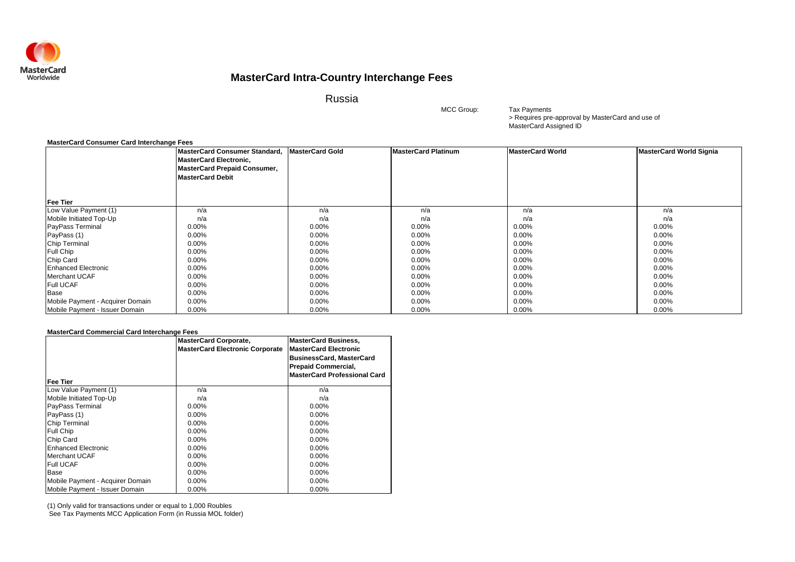

Russia

MCC Group:

> Requires pre-approval by MasterCard and use of MasterCard Assigned ID Tax Payments

#### **MasterCard Consumer Card Interchange Fees**

|                                  | MasterCard Consumer Standard, MasterCard Gold<br><b>MasterCard Electronic,</b><br><b>MasterCard Prepaid Consumer,</b><br><b>MasterCard Debit</b> |          | <b>MasterCard Platinum</b> | <b>MasterCard World</b> | <b>MasterCard World Signia</b> |
|----------------------------------|--------------------------------------------------------------------------------------------------------------------------------------------------|----------|----------------------------|-------------------------|--------------------------------|
| <b>Fee Tier</b>                  |                                                                                                                                                  |          |                            |                         |                                |
| Low Value Payment (1)            | n/a                                                                                                                                              | n/a      | n/a                        | n/a                     | n/a                            |
| Mobile Initiated Top-Up          | n/a                                                                                                                                              | n/a      | n/a                        | n/a                     | n/a                            |
| PayPass Terminal                 | 0.00%                                                                                                                                            | 0.00%    | $0.00\%$                   | $0.00\%$                | $0.00\%$                       |
| PayPass (1)                      | 0.00%                                                                                                                                            | 0.00%    | 0.00%                      | $0.00\%$                | 0.00%                          |
| Chip Terminal                    | 0.00%                                                                                                                                            | 0.00%    | 0.00%                      | $0.00\%$                | 0.00%                          |
| Full Chip                        | $0.00\%$                                                                                                                                         | $0.00\%$ | $0.00\%$                   | $0.00\%$                | $0.00\%$                       |
| Chip Card                        | 0.00%                                                                                                                                            | $0.00\%$ | $0.00\%$                   | $0.00\%$                | $0.00\%$                       |
| <b>Enhanced Electronic</b>       | 0.00%                                                                                                                                            | $0.00\%$ | $0.00\%$                   | $0.00\%$                | $0.00\%$                       |
| Merchant UCAF                    | 0.00%                                                                                                                                            | $0.00\%$ | $0.00\%$                   | $0.00\%$                | $0.00\%$                       |
| <b>Full UCAF</b>                 | 0.00%                                                                                                                                            | 0.00%    | 0.00%                      | $0.00\%$                | 0.00%                          |
| Base                             | 0.00%                                                                                                                                            | $0.00\%$ | $0.00\%$                   | $0.00\%$                | $0.00\%$                       |
| Mobile Payment - Acquirer Domain | $0.00\%$                                                                                                                                         | $0.00\%$ | $0.00\%$                   | $0.00\%$                | $0.00\%$                       |
| Mobile Payment - Issuer Domain   | 0.00%                                                                                                                                            | $0.00\%$ | $0.00\%$                   | $0.00\%$                | $0.00\%$                       |

### **MasterCard Commercial Card Interchange Fees**

| <b>Fee Tier</b>                  | <b>MasterCard Corporate,</b><br><b>MasterCard Electronic Corporate</b> | <b>MasterCard Business,</b><br><b>MasterCard Electronic</b><br><b>BusinessCard, MasterCard</b><br><b>Prepaid Commercial,</b><br><b>MasterCard Professional Card</b> |
|----------------------------------|------------------------------------------------------------------------|---------------------------------------------------------------------------------------------------------------------------------------------------------------------|
| Low Value Payment (1)            | n/a                                                                    | n/a                                                                                                                                                                 |
| Mobile Initiated Top-Up          | n/a                                                                    | n/a                                                                                                                                                                 |
| PayPass Terminal                 | $0.00\%$                                                               | $0.00\%$                                                                                                                                                            |
| PayPass (1)                      | $0.00\%$                                                               | 0.00%                                                                                                                                                               |
| <b>Chip Terminal</b>             | $0.00\%$                                                               | $0.00\%$                                                                                                                                                            |
| <b>Full Chip</b>                 | $0.00\%$                                                               | $0.00\%$                                                                                                                                                            |
| Chip Card                        | $0.00\%$                                                               | $0.00\%$                                                                                                                                                            |
| <b>Enhanced Electronic</b>       | $0.00\%$                                                               | $0.00\%$                                                                                                                                                            |
| Merchant UCAF                    | $0.00\%$                                                               | $0.00\%$                                                                                                                                                            |
| <b>Full UCAF</b>                 | $0.00\%$                                                               | $0.00\%$                                                                                                                                                            |
| Base                             | $0.00\%$                                                               | $0.00\%$                                                                                                                                                            |
| Mobile Payment - Acquirer Domain | $0.00\%$                                                               | $0.00\%$                                                                                                                                                            |
| Mobile Payment - Issuer Domain   | $0.00\%$                                                               | $0.00\%$                                                                                                                                                            |

(1) Only valid for transactions under or equal to 1,000 Roubles

See Tax Payments MCC Application Form (in Russia MOL folder)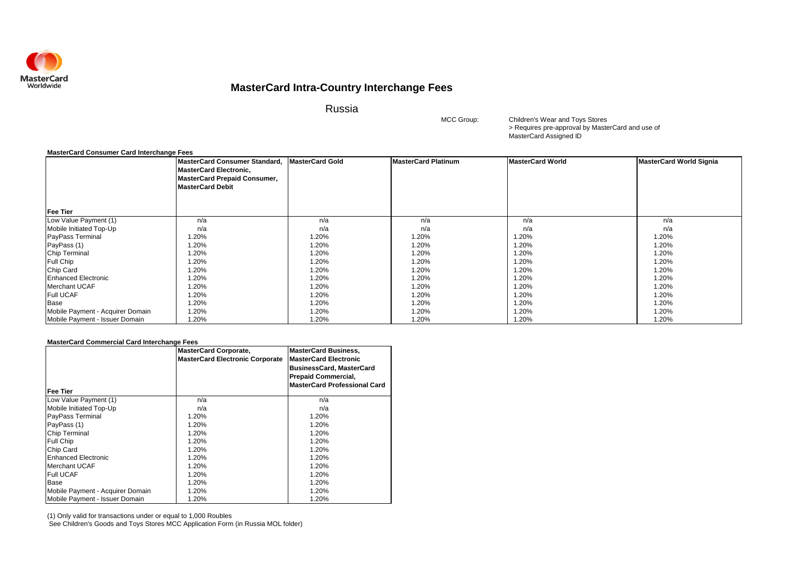

Russia

MCC Group:

> Requires pre-approval by MasterCard and use of MasterCard Assigned ID Children's Wear and Toys Stores

### **MasterCard Consumer Card Interchange Fees**

|                                  | MasterCard Consumer Standard, MasterCard Gold<br><b>MasterCard Electronic,</b><br><b>MasterCard Prepaid Consumer,</b><br><b>MasterCard Debit</b> |       | <b>MasterCard Platinum</b> | <b>MasterCard World</b> | <b>MasterCard World Signia</b> |
|----------------------------------|--------------------------------------------------------------------------------------------------------------------------------------------------|-------|----------------------------|-------------------------|--------------------------------|
| <b>Fee Tier</b>                  |                                                                                                                                                  |       |                            |                         |                                |
| Low Value Payment (1)            | n/a                                                                                                                                              | n/a   | n/a                        | n/a                     | n/a                            |
| Mobile Initiated Top-Up          | n/a                                                                                                                                              | n/a   | n/a                        | n/a                     | n/a                            |
| PayPass Terminal                 | 1.20%                                                                                                                                            | 1.20% | 1.20%                      | 1.20%                   | 1.20%                          |
| PayPass (1)                      | 1.20%                                                                                                                                            | 1.20% | 1.20%                      | 1.20%                   | 1.20%                          |
| <b>Chip Terminal</b>             | 1.20%                                                                                                                                            | 1.20% | 1.20%                      | 1.20%                   | 1.20%                          |
| <b>Full Chip</b>                 | 1.20%                                                                                                                                            | 1.20% | 1.20%                      | 1.20%                   | 1.20%                          |
| Chip Card                        | 1.20%                                                                                                                                            | 1.20% | 1.20%                      | .20%                    | 1.20%                          |
| <b>Enhanced Electronic</b>       | 1.20%                                                                                                                                            | 1.20% | 1.20%                      | 1.20%                   | 1.20%                          |
| <b>Merchant UCAF</b>             | 1.20%                                                                                                                                            | 1.20% | 1.20%                      | 1.20%                   | 1.20%                          |
| <b>Full UCAF</b>                 | 1.20%                                                                                                                                            | 1.20% | 1.20%                      | 1.20%                   | 1.20%                          |
| Base                             | 1.20%                                                                                                                                            | 1.20% | 1.20%                      | 1.20%                   | 1.20%                          |
| Mobile Payment - Acquirer Domain | 1.20%                                                                                                                                            | 1.20% | 1.20%                      | 1.20%                   | 1.20%                          |
| Mobile Payment - Issuer Domain   | 1.20%                                                                                                                                            | 1.20% | 1.20%                      | .20%                    | 1.20%                          |

#### **MasterCard Commercial Card Interchange Fees**

| l Fee Tier                       | <b>MasterCard Corporate,</b><br><b>MasterCard Electronic Corporate</b> | <b>MasterCard Business,</b><br><b>MasterCard Electronic</b><br><b>BusinessCard, MasterCard</b><br><b>Prepaid Commercial,</b><br><b>MasterCard Professional Card</b> |
|----------------------------------|------------------------------------------------------------------------|---------------------------------------------------------------------------------------------------------------------------------------------------------------------|
| Low Value Payment (1)            | n/a                                                                    | n/a                                                                                                                                                                 |
| Mobile Initiated Top-Up          | n/a                                                                    | n/a                                                                                                                                                                 |
| PayPass Terminal                 | 1.20%                                                                  | 1.20%                                                                                                                                                               |
| PayPass (1)                      | 1.20%                                                                  | 1.20%                                                                                                                                                               |
| <b>Chip Terminal</b>             | 1.20%                                                                  | 1.20%                                                                                                                                                               |
| <b>Full Chip</b>                 | 1.20%                                                                  | 1.20%                                                                                                                                                               |
| Chip Card                        | 1.20%                                                                  | 1.20%                                                                                                                                                               |
| <b>Enhanced Electronic</b>       | 1.20%                                                                  | 1.20%                                                                                                                                                               |
| <b>Merchant UCAF</b>             | 1.20%                                                                  | 1.20%                                                                                                                                                               |
| <b>Full UCAF</b>                 | 1.20%                                                                  | 1.20%                                                                                                                                                               |
| Base                             | 1.20%                                                                  | 1.20%                                                                                                                                                               |
| Mobile Payment - Acquirer Domain | 1.20%                                                                  | 1.20%                                                                                                                                                               |
| Mobile Payment - Issuer Domain   | 1.20%                                                                  | 1.20%                                                                                                                                                               |

(1) Only valid for transactions under or equal to 1,000 Roubles

See Children's Goods and Toys Stores MCC Application Form (in Russia MOL folder)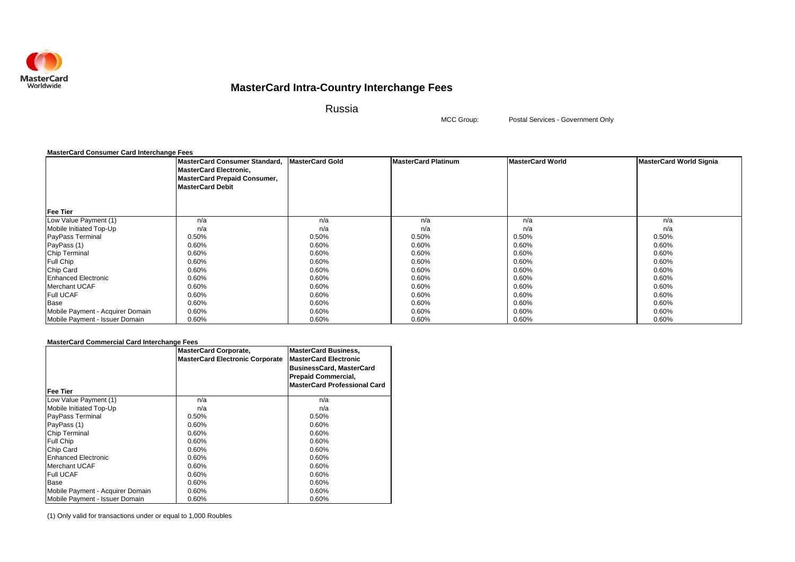

Russia

MCC Group:

Postal Services - Government Only

| <b>MasterCard Consumer Card Interchange Fees</b> |                                                                                                                           |                        |                            |                         |                                |
|--------------------------------------------------|---------------------------------------------------------------------------------------------------------------------------|------------------------|----------------------------|-------------------------|--------------------------------|
|                                                  | MasterCard Consumer Standard,<br><b>MasterCard Electronic,</b><br>MasterCard Prepaid Consumer,<br><b>MasterCard Debit</b> | <b>MasterCard Gold</b> | <b>MasterCard Platinum</b> | <b>MasterCard World</b> | <b>MasterCard World Signia</b> |
| <b>Fee Tier</b>                                  |                                                                                                                           |                        |                            |                         |                                |
| Low Value Payment (1)                            | n/a                                                                                                                       | n/a                    | n/a                        | n/a                     | n/a                            |
| Mobile Initiated Top-Up                          | n/a                                                                                                                       | n/a                    | n/a                        | n/a                     | n/a                            |
| PayPass Terminal                                 | 0.50%                                                                                                                     | 0.50%                  | 0.50%                      | 0.50%                   | 0.50%                          |
| PayPass (1)                                      | 0.60%                                                                                                                     | 0.60%                  | 0.60%                      | 0.60%                   | 0.60%                          |
| Chip Terminal                                    | 0.60%                                                                                                                     | 0.60%                  | 0.60%                      | 0.60%                   | 0.60%                          |
| Full Chip                                        | 0.60%                                                                                                                     | 0.60%                  | 0.60%                      | 0.60%                   | 0.60%                          |
| Chip Card                                        | 0.60%                                                                                                                     | 0.60%                  | 0.60%                      | 0.60%                   | 0.60%                          |
| <b>Enhanced Electronic</b>                       | 0.60%                                                                                                                     | 0.60%                  | 0.60%                      | 0.60%                   | 0.60%                          |
| <b>Merchant UCAF</b>                             | 0.60%                                                                                                                     | 0.60%                  | 0.60%                      | 0.60%                   | 0.60%                          |
| <b>Full UCAF</b>                                 | 0.60%                                                                                                                     | 0.60%                  | 0.60%                      | 0.60%                   | 0.60%                          |
| Base                                             | 0.60%                                                                                                                     | 0.60%                  | 0.60%                      | 0.60%                   | 0.60%                          |
| Mobile Payment - Acquirer Domain                 | 0.60%                                                                                                                     | 0.60%                  | 0.60%                      | 0.60%                   | 0.60%                          |
| Mobile Payment - Issuer Domain                   | 0.60%                                                                                                                     | 0.60%                  | 0.60%                      | 0.60%                   | 0.60%                          |

### **MasterCard Commercial Card Interchange Fees**

| Fee Tier                         | <b>MasterCard Corporate,</b><br><b>MasterCard Electronic Corporate</b> | <b>MasterCard Business,</b><br><b>MasterCard Electronic</b><br><b>BusinessCard, MasterCard</b><br><b>Prepaid Commercial,</b><br><b>MasterCard Professional Card</b> |
|----------------------------------|------------------------------------------------------------------------|---------------------------------------------------------------------------------------------------------------------------------------------------------------------|
| Low Value Payment (1)            | n/a                                                                    | n/a                                                                                                                                                                 |
| Mobile Initiated Top-Up          | n/a                                                                    | n/a                                                                                                                                                                 |
| <b>PayPass Terminal</b>          | 0.50%                                                                  | 0.50%                                                                                                                                                               |
| PayPass (1)                      | 0.60%                                                                  | 0.60%                                                                                                                                                               |
| <b>Chip Terminal</b>             | 0.60%                                                                  | 0.60%                                                                                                                                                               |
| <b>Full Chip</b>                 | 0.60%                                                                  | 0.60%                                                                                                                                                               |
| Chip Card                        | 0.60%                                                                  | 0.60%                                                                                                                                                               |
| <b>Enhanced Electronic</b>       | 0.60%                                                                  | 0.60%                                                                                                                                                               |
| <b>Merchant UCAF</b>             | 0.60%                                                                  | 0.60%                                                                                                                                                               |
| <b>Full UCAF</b>                 | 0.60%                                                                  | 0.60%                                                                                                                                                               |
| Base                             | 0.60%                                                                  | 0.60%                                                                                                                                                               |
| Mobile Payment - Acquirer Domain | 0.60%                                                                  | 0.60%                                                                                                                                                               |
| Mobile Payment - Issuer Domain   | 0.60%                                                                  | 0.60%                                                                                                                                                               |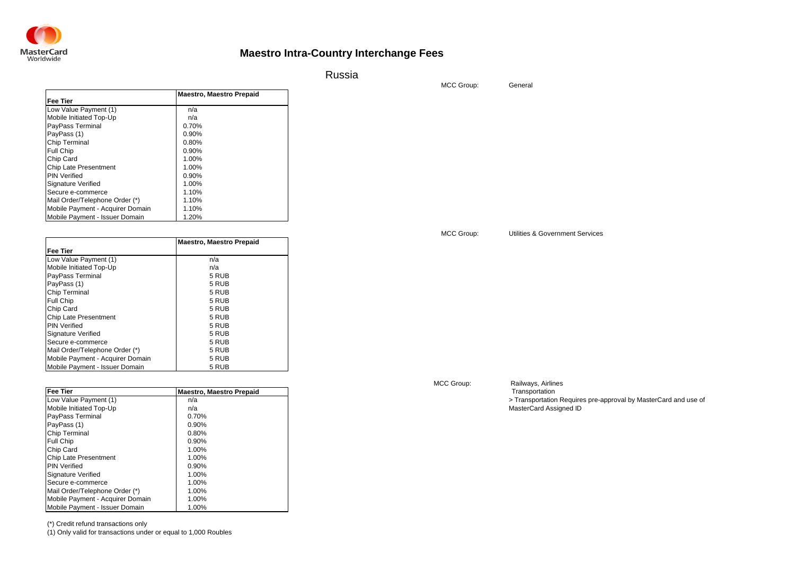

Russia

MCC Group:

|                                  | <b>Maestro, Maestro Prepaid</b> |  |
|----------------------------------|---------------------------------|--|
| Fee Tier                         |                                 |  |
| Low Value Payment (1)            | n/a                             |  |
| Mobile Initiated Top-Up          | n/a                             |  |
| PayPass Terminal                 | 0.70%                           |  |
| PayPass (1)                      | 0.90%                           |  |
| <b>Chip Terminal</b>             | 0.80%                           |  |
| Full Chip                        | 0.90%                           |  |
| Chip Card                        | 1.00%                           |  |
| <b>Chip Late Presentment</b>     | 1.00%                           |  |
| <b>PIN Verified</b>              | 0.90%                           |  |
| Signature Verified               | 1.00%                           |  |
| Secure e-commerce                | 1.10%                           |  |
| Mail Order/Telephone Order (*)   | 1.10%                           |  |
| Mobile Payment - Acquirer Domain | 1.10%                           |  |
| Mobile Payment - Issuer Domain   | 1.20%                           |  |

|                                  | <b>Maestro, Maestro Prepaid</b> |
|----------------------------------|---------------------------------|
| <b>Fee Tier</b>                  |                                 |
| Low Value Payment (1)            | n/a                             |
| Mobile Initiated Top-Up          | n/a                             |
| PayPass Terminal                 | 5 RUB                           |
| PayPass (1)                      | 5 RUB                           |
| Chip Terminal                    | 5 RUB                           |
| Full Chip                        | 5 RUB                           |
| Chip Card                        | 5 RUB                           |
| Chip Late Presentment            | 5 RUB                           |
| <b>PIN Verified</b>              | 5 RUB                           |
| Signature Verified               | 5 RUB                           |
| Secure e-commerce                | 5 RUB                           |
| Mail Order/Telephone Order (*)   | 5 RUB                           |
| Mobile Payment - Acquirer Domain | 5 RUB                           |
| Mobile Payment - Issuer Domain   | 5 RUB                           |

| Fee Tier                         | <b>Maestro, Maestro Prepaid</b> | Transportation                                                  |
|----------------------------------|---------------------------------|-----------------------------------------------------------------|
| Low Value Payment (1)            | n/a                             | > Transportation Requires pre-approval by MasterCard and use of |
| Mobile Initiated Top-Up          | n/a                             | MasterCard Assigned ID                                          |
| PayPass Terminal                 | 0.70%                           |                                                                 |
| PayPass (1)                      | 0.90%                           |                                                                 |
| <b>Chip Terminal</b>             | 0.80%                           |                                                                 |
| <b>Full Chip</b>                 | 0.90%                           |                                                                 |
| Chip Card                        | 1.00%                           |                                                                 |
| Chip Late Presentment            | 1.00%                           |                                                                 |
| <b>PIN Verified</b>              | 0.90%                           |                                                                 |
| <b>Signature Verified</b>        | 1.00%                           |                                                                 |
| Secure e-commerce                | 1.00%                           |                                                                 |
| Mail Order/Telephone Order (*)   | 1.00%                           |                                                                 |
| Mobile Payment - Acquirer Domain | 1.00%                           |                                                                 |
| Mobile Payment - Issuer Domain   | 1.00%                           |                                                                 |

(\*) Credit refund transactions only

Mobile Payment - Issuer Domain

(1) Only valid for transactions under or equal to 1,000 Roubles

MCC Group:

Railways, Airlines

MCC Group:

Utilities & Government Services

General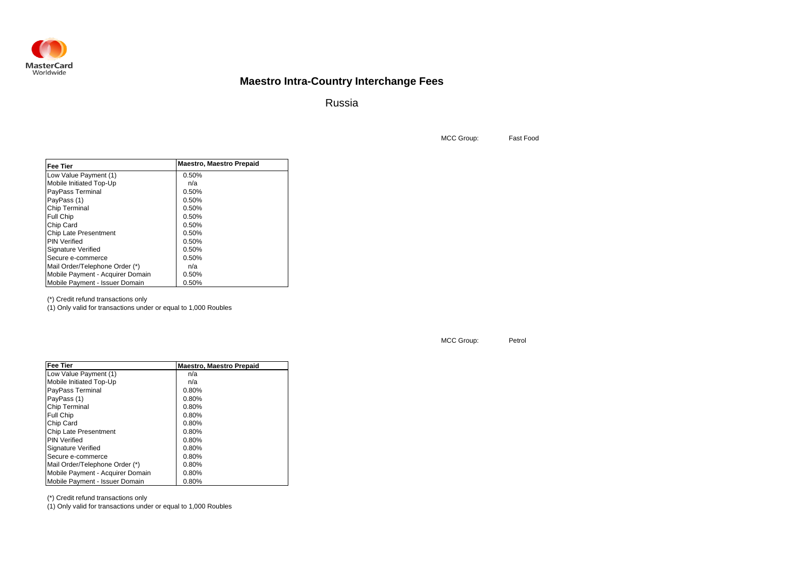

Russia

MCC Group: Fast Food

| <b>Fee Tier</b>                  | <b>Maestro, Maestro Prepaid</b> |
|----------------------------------|---------------------------------|
| Low Value Payment (1)            | 0.50%                           |
| Mobile Initiated Top-Up          | n/a                             |
| PayPass Terminal                 | 0.50%                           |
| PayPass (1)                      | 0.50%                           |
| Chip Terminal                    | 0.50%                           |
| Full Chip                        | 0.50%                           |
| Chip Card                        | 0.50%                           |
| Chip Late Presentment            | 0.50%                           |
| <b>PIN Verified</b>              | 0.50%                           |
| <b>Signature Verified</b>        | 0.50%                           |
| Secure e-commerce                | 0.50%                           |
| Mail Order/Telephone Order (*)   | n/a                             |
| Mobile Payment - Acquirer Domain | 0.50%                           |
| Mobile Payment - Issuer Domain   | 0.50%                           |

(\*) Credit refund transactions only

(1) Only valid for transactions under or equal to 1,000 Roubles

| <b>Fee Tier</b>                  | <b>Maestro, Maestro Prepaid</b> |
|----------------------------------|---------------------------------|
| Low Value Payment (1)            | n/a                             |
| Mobile Initiated Top-Up          | n/a                             |
| PayPass Terminal                 | 0.80%                           |
| PayPass (1)                      | 0.80%                           |
| Chip Terminal                    | 0.80%                           |
| <b>Full Chip</b>                 | 0.80%                           |
| Chip Card                        | 0.80%                           |
| <b>Chip Late Presentment</b>     | 0.80%                           |
| <b>PIN Verified</b>              | 0.80%                           |
| Signature Verified               | 0.80%                           |
| Secure e-commerce                | 0.80%                           |
| Mail Order/Telephone Order (*)   | 0.80%                           |
| Mobile Payment - Acquirer Domain | 0.80%                           |
| Mobile Payment - Issuer Domain   | 0.80%                           |

(\*) Credit refund transactions only

(1) Only valid for transactions under or equal to 1,000 Roubles

#### MCC Group: Petrol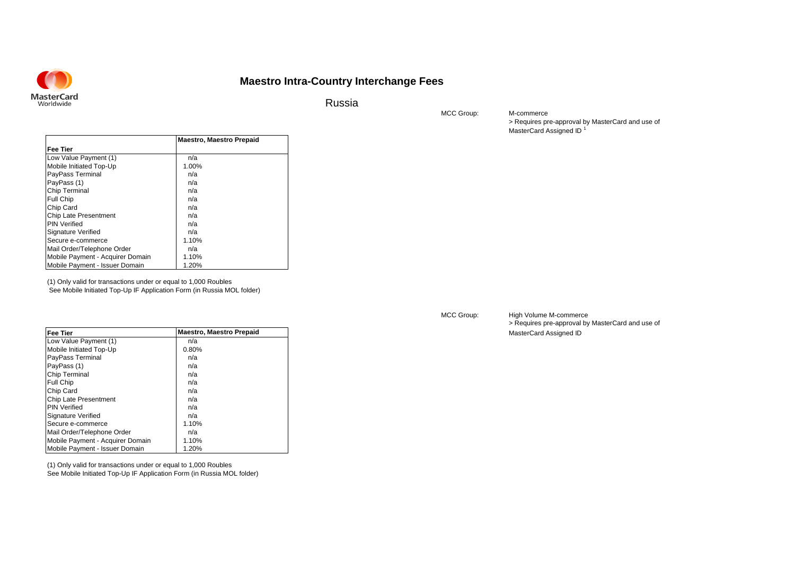Russia

MCC Group:

> Requires pre-approval by MasterCard and use of MasterCard Assigned ID<sup>1</sup> M-commerce

|                                  | <b>Maestro, Maestro Prepaid</b> |
|----------------------------------|---------------------------------|
| Fee Tier                         |                                 |
| Low Value Payment (1)            | n/a                             |
| Mobile Initiated Top-Up          | 1.00%                           |
| PayPass Terminal                 | n/a                             |
| PayPass (1)                      | n/a                             |
| Chip Terminal                    | n/a                             |
| Full Chip                        | n/a                             |
| Chip Card                        | n/a                             |
| <b>Chip Late Presentment</b>     | n/a                             |
| <b>PIN Verified</b>              | n/a                             |
| Signature Verified               | n/a                             |
| Secure e-commerce                | 1.10%                           |
| Mail Order/Telephone Order       | n/a                             |
| Mobile Payment - Acquirer Domain | 1.10%                           |
| Mobile Payment - Issuer Domain   | 1.20%                           |

(1) Only valid for transactions under or equal to 1,000 Roubles

See Mobile Initiated Top-Up IF Application Form (in Russia MOL folder)

| <b>Fee Tier</b>                  | <b>Maestro, Maestro Prepaid</b> |
|----------------------------------|---------------------------------|
| Low Value Payment (1)            | n/a                             |
| Mobile Initiated Top-Up          | 0.80%                           |
| PayPass Terminal                 | n/a                             |
| PayPass (1)                      | n/a                             |
| Chip Terminal                    | n/a                             |
| <b>Full Chip</b>                 | n/a                             |
| Chip Card                        | n/a                             |
| Chip Late Presentment            | n/a                             |
| <b>PIN Verified</b>              | n/a                             |
| Signature Verified               | n/a                             |
| Secure e-commerce                | 1.10%                           |
| Mail Order/Telephone Order       | n/a                             |
| Mobile Payment - Acquirer Domain | 1.10%                           |
| Mobile Payment - Issuer Domain   | 1.20%                           |

(1) Only valid for transactions under or equal to 1,000 Roubles See Mobile Initiated Top-Up IF Application Form (in Russia MOL folder)

#### MCC Group:

> Requires pre-approval by MasterCard and use of **MasterCard Assigned ID** High Volume M-commerce

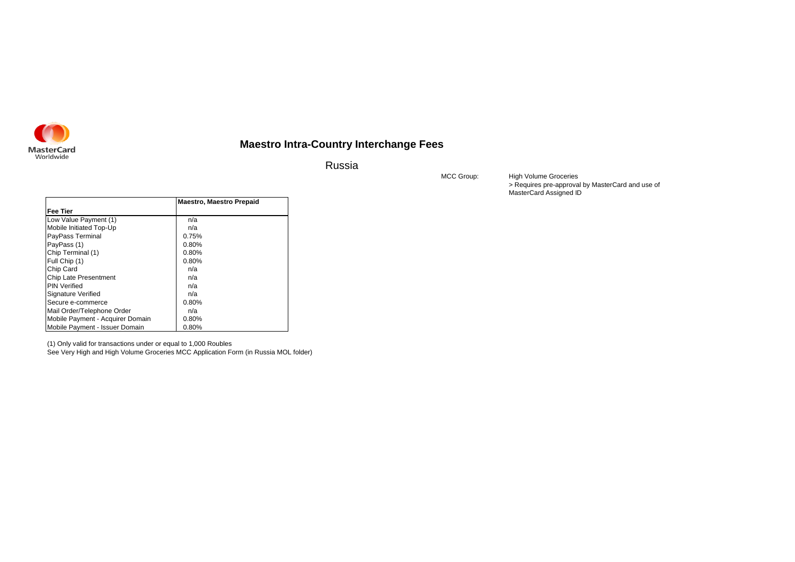

Russia

MCC Group:

> Requires pre-approval by MasterCard and use of MasterCard Assigned ID High Volume Groceries

|                                  | <b>Maestro, Maestro Prepaid</b> |
|----------------------------------|---------------------------------|
| <b>Fee Tier</b>                  |                                 |
| Low Value Payment (1)            | n/a                             |
| Mobile Initiated Top-Up          | n/a                             |
| PayPass Terminal                 | 0.75%                           |
| PayPass (1)                      | 0.80%                           |
| Chip Terminal (1)                | 0.80%                           |
| Full Chip (1)                    | 0.80%                           |
| Chip Card                        | n/a                             |
| <b>Chip Late Presentment</b>     | n/a                             |
| <b>PIN Verified</b>              | n/a                             |
| Signature Verified               | n/a                             |
| Secure e-commerce                | 0.80%                           |
| Mail Order/Telephone Order       | n/a                             |
| Mobile Payment - Acquirer Domain | 0.80%                           |
| Mobile Payment - Issuer Domain   | 0.80%                           |

(1) Only valid for transactions under or equal to 1,000 Roubles

See Very High and High Volume Groceries MCC Application Form (in Russia MOL folder)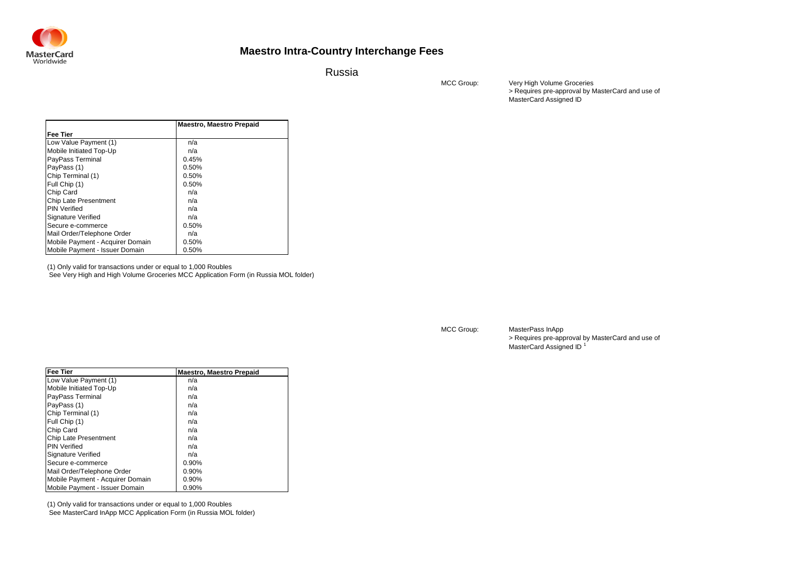

Russia

MCC Group:

> Requires pre-approval by MasterCard and use of MasterCard Assigned ID Very High Volume Groceries

|                                  | <b>Maestro, Maestro Prepaid</b> |
|----------------------------------|---------------------------------|
| Fee Tier                         |                                 |
| Low Value Payment (1)            | n/a                             |
| Mobile Initiated Top-Up          | n/a                             |
| PayPass Terminal                 | 0.45%                           |
| PayPass (1)                      | 0.50%                           |
| Chip Terminal (1)                | 0.50%                           |
| Full Chip (1)                    | 0.50%                           |
| Chip Card                        | n/a                             |
| Chip Late Presentment            | n/a                             |
| <b>PIN Verified</b>              | n/a                             |
| Signature Verified               | n/a                             |
| Secure e-commerce                | 0.50%                           |
| Mail Order/Telephone Order       | n/a                             |
| Mobile Payment - Acquirer Domain | 0.50%                           |
| Mobile Payment - Issuer Domain   | 0.50%                           |

(1) Only valid for transactions under or equal to 1,000 Roubles

See Very High and High Volume Groceries MCC Application Form (in Russia MOL folder)

| <b>Fee Tier</b>                  | <b>Maestro, Maestro Prepaid</b> |
|----------------------------------|---------------------------------|
| Low Value Payment (1)            | n/a                             |
| Mobile Initiated Top-Up          | n/a                             |
| PayPass Terminal                 | n/a                             |
| PayPass (1)                      | n/a                             |
| Chip Terminal (1)                | n/a                             |
| Full Chip (1)                    | n/a                             |
| Chip Card                        | n/a                             |
| <b>Chip Late Presentment</b>     | n/a                             |
| <b>PIN Verified</b>              | n/a                             |
| Signature Verified               | n/a                             |
| Secure e-commerce                | 0.90%                           |
| Mail Order/Telephone Order       | 0.90%                           |
| Mobile Payment - Acquirer Domain | 0.90%                           |
| Mobile Payment - Issuer Domain   | 0.90%                           |

(1) Only valid for transactions under or equal to 1,000 Roubles See MasterCard InApp MCC Application Form (in Russia MOL folder) MCC Group:

> Requires pre-approval by MasterCard and use of MasterCard Assigned ID<sup>1</sup> MasterPass InApp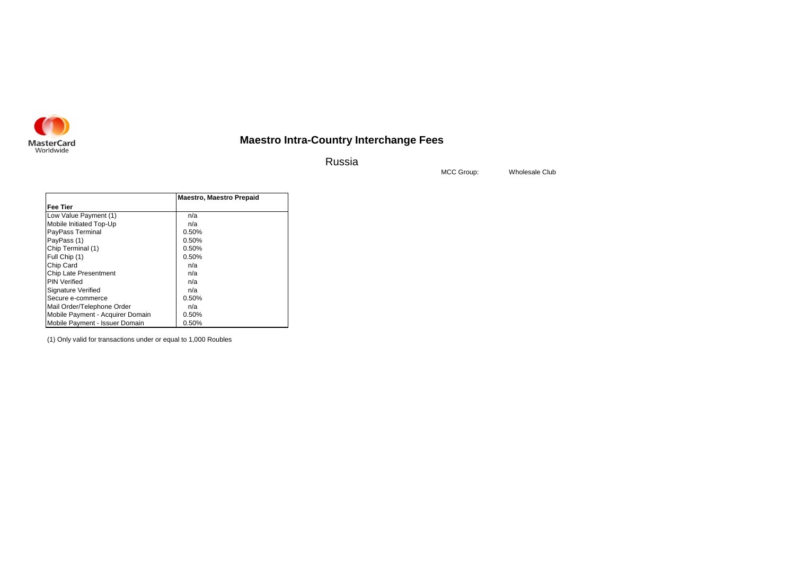

Russia

Wholesale Club

MCC Group:

|                                  | <b>Maestro, Maestro Prepaid</b> |
|----------------------------------|---------------------------------|
| <b>Fee Tier</b>                  |                                 |
| Low Value Payment (1)            | n/a                             |
| Mobile Initiated Top-Up          | n/a                             |
| PayPass Terminal                 | 0.50%                           |
| PayPass (1)                      | 0.50%                           |
| Chip Terminal (1)                | 0.50%                           |
| Full Chip (1)                    | 0.50%                           |
| Chip Card                        | n/a                             |
| <b>Chip Late Presentment</b>     | n/a                             |
| <b>PIN Verified</b>              | n/a                             |
| Signature Verified               | n/a                             |
| Secure e-commerce                | 0.50%                           |
| Mail Order/Telephone Order       | n/a                             |
| Mobile Payment - Acquirer Domain | 0.50%                           |
| Mobile Payment - Issuer Domain   | 0.50%                           |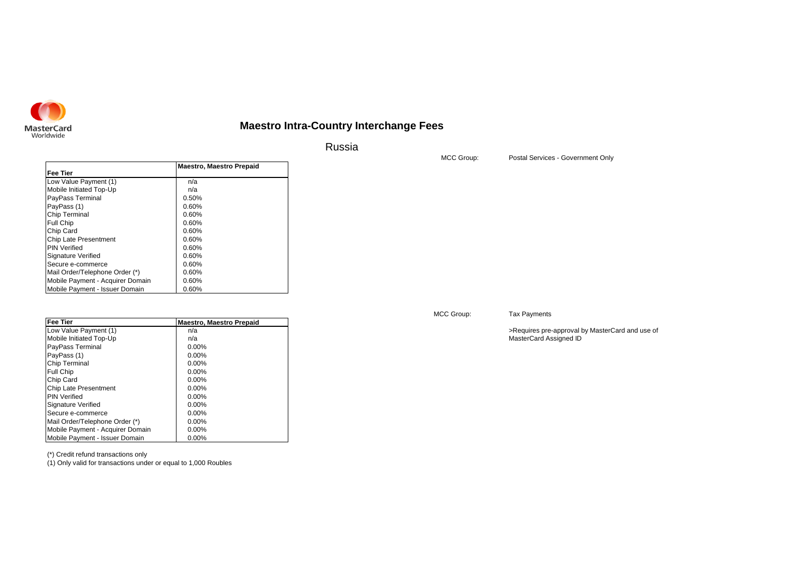

Russia

**Fee Tier** Low Value Payment (1) a control in/a Mobile Initiated Top-Up **n/a**<br>PayPass Terminal **n/a** 0.50% PayPass Terminal 0.50%<br>PayPass (1) 0.60% PayPass (1)  $0.60\%$ <br>Chip Terminal 0.60% Chip Terminal 0.60% **Chip Terminal** 0.60% **Chip Terminal** 0.60% Full Chip 0.60% 0.60% 0.60% Chip Card<br>Chip Late Presentment 0.60% Chip Late Presentment  $0.60\%$ <br>PIN Verified 0.60% PIN Verified 0.60% **DIN** 0.60% **ONEXE**<br>Signature Verified 0.60% Signature Verified  $0.60\%$ <br>Secure e-commerce  $0.60\%$ Secure e-commerce <br>
Mail Order/Telephone Order (\*) 0.60% Mail Order/Telephone Order (\*) 0.60%<br>Mobile Payment - Acquirer Domain 0.60% Mobile Payment - Acquirer Domain 0.60%<br>Mobile Payment - Issuer Domain 0.60% Mobile Payment - Issuer Domain **Maestro, Maestro Prepaid**

| <b>Fee Tier</b>                  | <b>Maestro, Maestro Prepaid</b> |
|----------------------------------|---------------------------------|
| Low Value Payment (1)            | n/a                             |
| Mobile Initiated Top-Up          | n/a                             |
| PayPass Terminal                 | $0.00\%$                        |
| PayPass (1)                      | $0.00\%$                        |
| Chip Terminal                    | $0.00\%$                        |
| <b>Full Chip</b>                 | $0.00\%$                        |
| Chip Card                        | $0.00\%$                        |
| <b>Chip Late Presentment</b>     | $0.00\%$                        |
| <b>PIN Verified</b>              | $0.00\%$                        |
| Signature Verified               | $0.00\%$                        |
| Secure e-commerce                | $0.00\%$                        |
| Mail Order/Telephone Order (*)   | $0.00\%$                        |
| Mobile Payment - Acquirer Domain | $0.00\%$                        |
| Mobile Payment - Issuer Domain   | $0.00\%$                        |

(\*) Credit refund transactions only

(1) Only valid for transactions under or equal to 1,000 Roubles

### MCC Group:

Tax Payments

>Requires pre-approval by MasterCard and use of MasterCard Assigned ID

MCC Group:

Postal Services - Government Only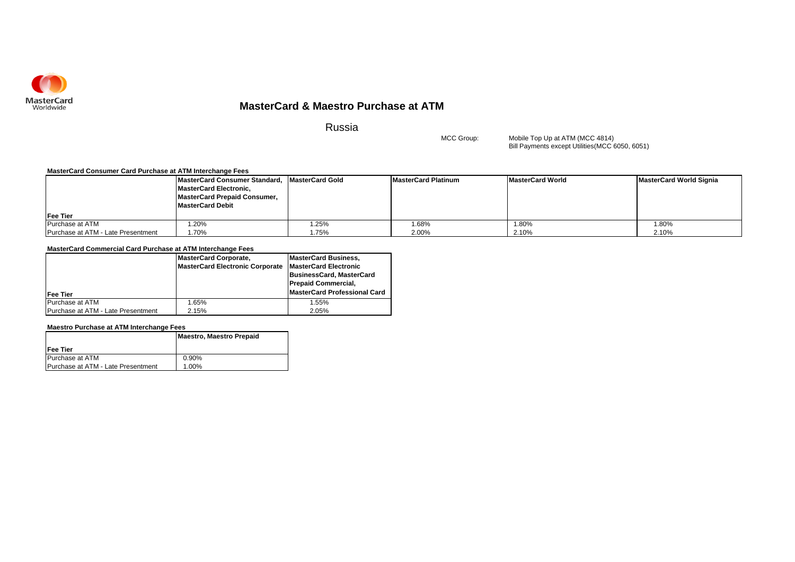

### **MasterCard & Maestro Purchase at ATM**

Russia

MCC Group:

Bill Payments except Utilities(MCC 6050, 6051) Mobile Top Up at ATM (MCC 4814)

### **MasterCard Consumer Card Purchase at ATM Interchange Fees**

|                                    | MasterCard Consumer Standard, MasterCard Gold |       | MasterCard Platinum | <b>MasterCard World</b> | MasterCard World Signia |
|------------------------------------|-----------------------------------------------|-------|---------------------|-------------------------|-------------------------|
|                                    | <b>MasterCard Electronic,</b>                 |       |                     |                         |                         |
|                                    | <b>MasterCard Prepaid Consumer,</b>           |       |                     |                         |                         |
|                                    | <b>MasterCard Debit</b>                       |       |                     |                         |                         |
| <b>IFee Tier</b>                   |                                               |       |                     |                         |                         |
| Purchase at ATM                    | .20%                                          | .25%  | 1.68%               | $.80\%$                 | 1.80%                   |
| Purchase at ATM - Late Presentment | .70%                                          | 1.75% | 2.00%               | 2.10%                   | 2.10%                   |

### **MasterCard Commercial Card Purchase at ATM Interchange Fees**

|                                    | <b>MasterCard Corporate,</b>           | <b>MasterCard Business,</b>  |
|------------------------------------|----------------------------------------|------------------------------|
|                                    | <b>MasterCard Electronic Corporate</b> | <b>MasterCard Electronic</b> |
|                                    |                                        | BusinessCard, MasterCard     |
|                                    |                                        | <b>Prepaid Commercial,</b>   |
| <b>IFee Tier</b>                   |                                        | MasterCard Professional Card |
| Purchase at ATM                    | 1.65%                                  | 1.55%                        |
| Purchase at ATM - Late Presentment | 2.15%                                  | 2.05%                        |

### **Maestro Purchase at ATM Interchange Fees**

|                                    | Maestro, Maestro Prepaid |
|------------------------------------|--------------------------|
| Fee Tier                           |                          |
| Purchase at ATM                    | 0.90%                    |
| Purchase at ATM - Late Presentment | 1.00%                    |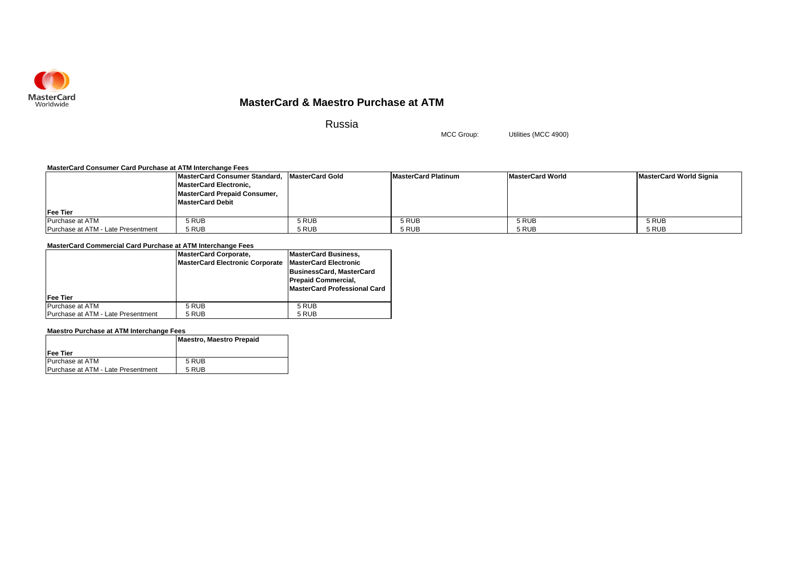

### **MasterCard & Maestro Purchase at ATM**

Russia

MCC Group: Utilities (MCC 4900)

### **MasterCard Consumer Card Purchase at ATM Interchange Fees**

|                                    | MasterCard Consumer Standard, MasterCard Gold |       | <b>MasterCard Platinum</b> | <b>MasterCard World</b> | MasterCard World Signia |
|------------------------------------|-----------------------------------------------|-------|----------------------------|-------------------------|-------------------------|
|                                    | <b>MasterCard Electronic.</b>                 |       |                            |                         |                         |
|                                    | MasterCard Prepaid Consumer,                  |       |                            |                         |                         |
|                                    | <b>MasterCard Debit</b>                       |       |                            |                         |                         |
| Fee Tier                           |                                               |       |                            |                         |                         |
| Purchase at ATM                    | 5 RUB                                         | 5 RUB | 5 RUB                      | 5 RUB                   | 5 RUB                   |
| Purchase at ATM - Late Presentment | 5 RUB                                         | 5 RUB | 5 RUB                      | 5 RUB                   | 5 RUB                   |

### **MasterCard Commercial Card Purchase at ATM Interchange Fees**

|                                    | <b>MasterCard Corporate,</b>           | <b>MasterCard Business,</b>     |
|------------------------------------|----------------------------------------|---------------------------------|
|                                    | <b>MasterCard Electronic Corporate</b> | <b>MasterCard Electronic</b>    |
|                                    |                                        | <b>BusinessCard, MasterCard</b> |
|                                    |                                        | <b>Prepaid Commercial,</b>      |
|                                    |                                        | MasterCard Professional Card    |
| <b>Fee Tier</b>                    |                                        |                                 |
| Purchase at ATM                    | 5 RUB                                  | 5 RUB                           |
| Purchase at ATM - Late Presentment | 5 RUB                                  | 5 RUB                           |

### **Maestro Purchase at ATM Interchange Fees**

|                                    | <b>Maestro, Maestro Prepaid</b> |
|------------------------------------|---------------------------------|
| Fee Tier                           |                                 |
| Purchase at ATM                    | 5 RUB                           |
| Purchase at ATM - Late Presentment | 5 RUB                           |